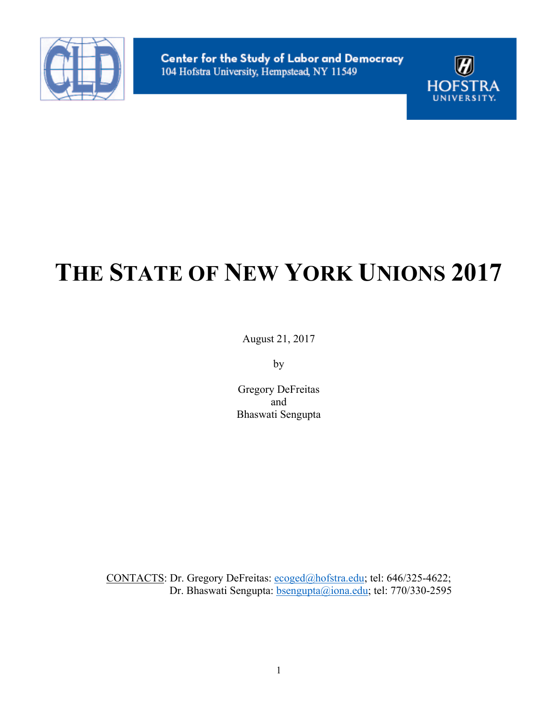



# **THE STATE OF NEW YORK UNIONS 2017**

August 21, 2017

by

Gregory DeFreitas and Bhaswati Sengupta

CONTACTS: Dr. Gregory DeFreitas: ecoged@hofstra.edu; tel: 646/325-4622; Dr. Bhaswati Sengupta: **bsengupta@iona.edu**; tel: 770/330-2595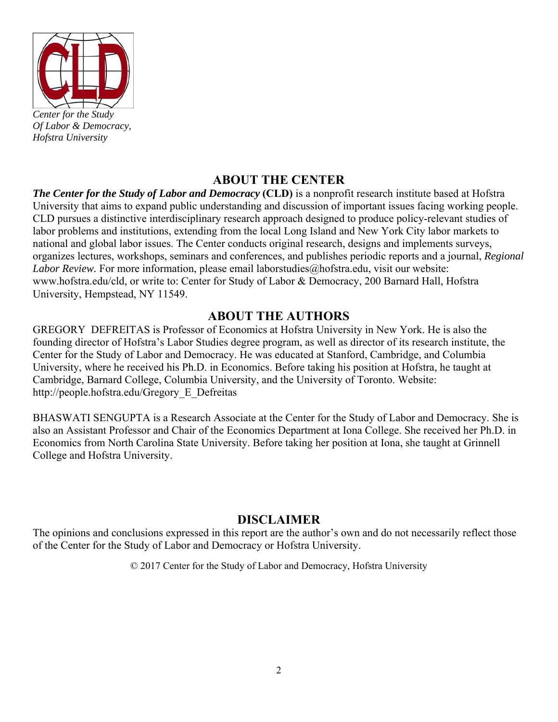

*Of Labor & Democracy, Hofstra University* 

### **ABOUT THE CENTER**

*The Center for the Study of Labor and Democracy* **(CLD)** is a nonprofit research institute based at Hofstra University that aims to expand public understanding and discussion of important issues facing working people. CLD pursues a distinctive interdisciplinary research approach designed to produce policy-relevant studies of labor problems and institutions, extending from the local Long Island and New York City labor markets to national and global labor issues. The Center conducts original research, designs and implements surveys, organizes lectures, workshops, seminars and conferences, and publishes periodic reports and a journal, *Regional Labor Review.* For more information, please email laborstudies@hofstra.edu, visit our website: www.hofstra.edu/cld, or write to: Center for Study of Labor & Democracy, 200 Barnard Hall, Hofstra University, Hempstead, NY 11549.

#### **ABOUT THE AUTHORS**

GREGORY DEFREITAS is Professor of Economics at Hofstra University in New York. He is also the founding director of Hofstra's Labor Studies degree program, as well as director of its research institute, the Center for the Study of Labor and Democracy. He was educated at Stanford, Cambridge, and Columbia University, where he received his Ph.D. in Economics. Before taking his position at Hofstra, he taught at Cambridge, Barnard College, Columbia University, and the University of Toronto. Website: http://people.hofstra.edu/Gregory\_E\_Defreitas

BHASWATI SENGUPTA is a Research Associate at the Center for the Study of Labor and Democracy. She is also an Assistant Professor and Chair of the Economics Department at Iona College. She received her Ph.D. in Economics from North Carolina State University. Before taking her position at Iona, she taught at Grinnell College and Hofstra University.

#### **DISCLAIMER**

The opinions and conclusions expressed in this report are the author's own and do not necessarily reflect those of the Center for the Study of Labor and Democracy or Hofstra University.

© 2017 Center for the Study of Labor and Democracy, Hofstra University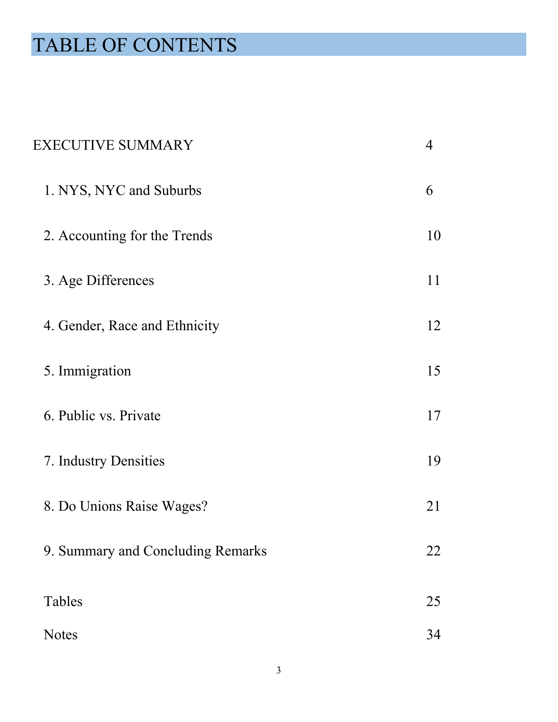# TABLE OF CONTENTS

| <b>EXECUTIVE SUMMARY</b>          | 4  |
|-----------------------------------|----|
| 1. NYS, NYC and Suburbs           | 6  |
| 2. Accounting for the Trends      | 10 |
| 3. Age Differences                | 11 |
| 4. Gender, Race and Ethnicity     | 12 |
| 5. Immigration                    | 15 |
| 6. Public vs. Private             | 17 |
| 7. Industry Densities             | 19 |
| 8. Do Unions Raise Wages?         | 21 |
| 9. Summary and Concluding Remarks | 22 |
| Tables                            | 25 |
| <b>Notes</b>                      | 34 |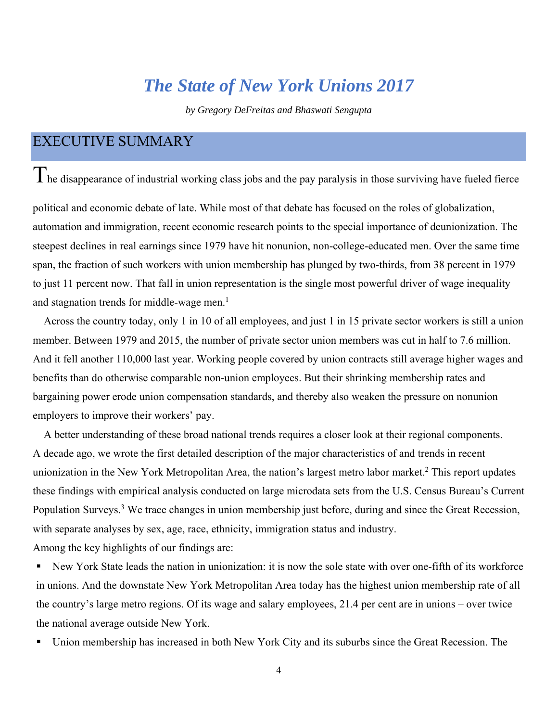## *The State of New York Unions 2017*

*by Gregory DeFreitas and Bhaswati Sengupta* 

### <span id="page-3-0"></span>EXECUTIVE SUMMARY

 $T$ he disappearance of industrial working class jobs and the pay paralysis in those surviving have fueled fierce

political and economic debate of late. While most of that debate has focused on the roles of globalization, automation and immigration, recent economic research points to the special importance of deunionization. The steepest declines in real earnings since 1979 have hit nonunion, non-college-educated men. Over the same time span, the fraction of such workers with union membership has plunged by two-thirds, from 38 percent in 1979 to just 11 percent now. That fall in union representation is the single most powerful driver of wage inequality and stagnation trends for middle-wage men. $<sup>1</sup>$ </sup>

Across the country today, only 1 in 10 of all employees, and just 1 in 15 private sector workers is still a union member. Between 1979 and 2015, the number of private sector union members was cut in half to 7.6 million. And it fell another 110,000 last year. Working people covered by union contracts still average higher wages and benefits than do otherwise comparable non-union employees. But their shrinking membership rates and bargaining power erode union compensation standards, and thereby also weaken the pressure on nonunion employers to improve their workers' pay.

A better understanding of these broad national trends requires a closer look at their regional components. A decade ago, we wrote the first detailed description of the major characteristics of and trends in recent unionization in the New York Metropolitan Area, the nation's largest metro labor market.<sup>2</sup> This report updates these findings with empirical analysis conducted on large microdata sets from the U.S. Census Bureau's Current Population Surveys.<sup>3</sup> We trace changes in union membership just before, during and since the Great Recession, with separate analyses by sex, age, race, ethnicity, immigration status and industry. Among the key highlights of our findings are:

 New York State leads the nation in unionization: it is now the sole state with over one-fifth of its workforce in unions. And the downstate New York Metropolitan Area today has the highest union membership rate of all the country's large metro regions. Of its wage and salary employees, 21.4 per cent are in unions – over twice the national average outside New York.

Union membership has increased in both New York City and its suburbs since the Great Recession. The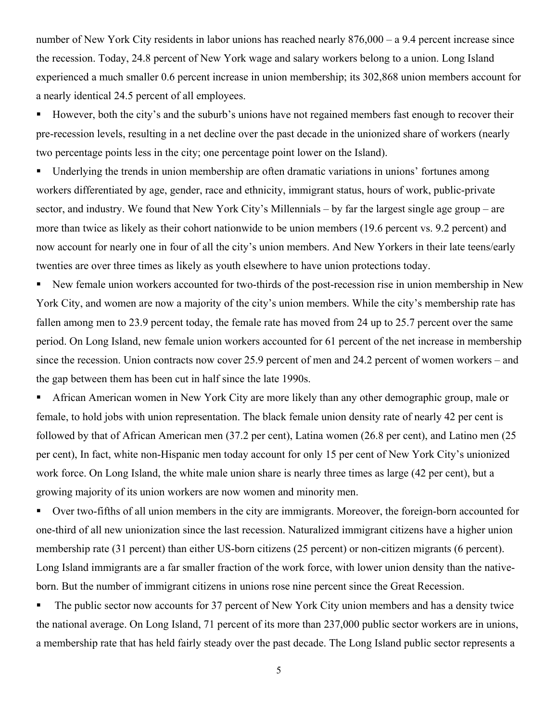number of New York City residents in labor unions has reached nearly 876,000 – a 9.4 percent increase since the recession. Today, 24.8 percent of New York wage and salary workers belong to a union. Long Island experienced a much smaller 0.6 percent increase in union membership; its 302,868 union members account for a nearly identical 24.5 percent of all employees.

 However, both the city's and the suburb's unions have not regained members fast enough to recover their pre-recession levels, resulting in a net decline over the past decade in the unionized share of workers (nearly two percentage points less in the city; one percentage point lower on the Island).

 Underlying the trends in union membership are often dramatic variations in unions' fortunes among workers differentiated by age, gender, race and ethnicity, immigrant status, hours of work, public-private sector, and industry. We found that New York City's Millennials – by far the largest single age group – are more than twice as likely as their cohort nationwide to be union members (19.6 percent vs. 9.2 percent) and now account for nearly one in four of all the city's union members. And New Yorkers in their late teens/early twenties are over three times as likely as youth elsewhere to have union protections today.

 New female union workers accounted for two-thirds of the post-recession rise in union membership in New York City, and women are now a majority of the city's union members. While the city's membership rate has fallen among men to 23.9 percent today, the female rate has moved from 24 up to 25.7 percent over the same period. On Long Island, new female union workers accounted for 61 percent of the net increase in membership since the recession. Union contracts now cover 25.9 percent of men and 24.2 percent of women workers – and the gap between them has been cut in half since the late 1990s.

 African American women in New York City are more likely than any other demographic group, male or female, to hold jobs with union representation. The black female union density rate of nearly 42 per cent is followed by that of African American men (37.2 per cent), Latina women (26.8 per cent), and Latino men (25 per cent), In fact, white non-Hispanic men today account for only 15 per cent of New York City's unionized work force. On Long Island, the white male union share is nearly three times as large (42 per cent), but a growing majority of its union workers are now women and minority men.

 Over two-fifths of all union members in the city are immigrants. Moreover, the foreign-born accounted for one-third of all new unionization since the last recession. Naturalized immigrant citizens have a higher union membership rate (31 percent) than either US-born citizens (25 percent) or non-citizen migrants (6 percent). Long Island immigrants are a far smaller fraction of the work force, with lower union density than the nativeborn. But the number of immigrant citizens in unions rose nine percent since the Great Recession.

The public sector now accounts for 37 percent of New York City union members and has a density twice the national average. On Long Island, 71 percent of its more than 237,000 public sector workers are in unions, a membership rate that has held fairly steady over the past decade. The Long Island public sector represents a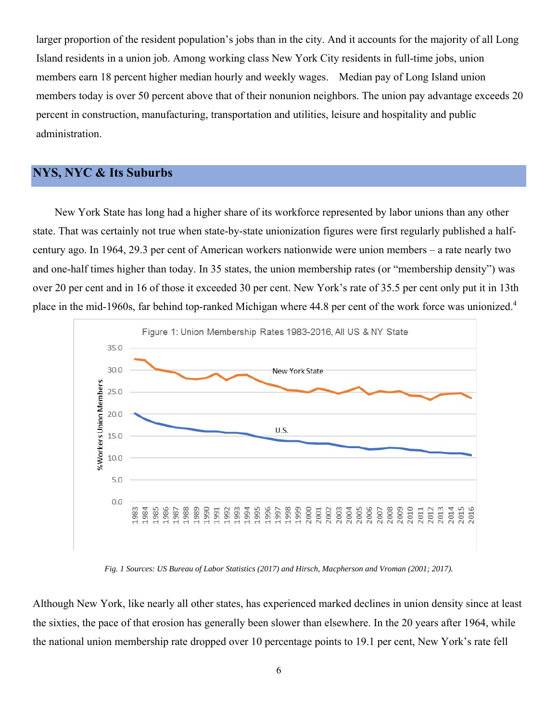<span id="page-5-0"></span>larger proportion of the resident population's jobs than in the city. And it accounts for the majority of all Long Island residents in a union job. Among working class New York City residents in full-time jobs, union members earn 18 percent higher median hourly and weekly wages. Median pay of Long Island union members today is over 50 percent above that of their nonunion neighbors. The union pay advantage exceeds 20 percent in construction, manufacturing, transportation and utilities, leisure and hospitality and public administration.

#### **NYS, NYC & Its Suburbs**

New York State has long had a higher share of its workforce represented by labor unions than any other state. That was certainly not true when state-by-state unionization figures were first regularly published a halfcentury ago. In 1964, 29.3 per cent of American workers nationwide were union members – a rate nearly two and one-half times higher than today. In 35 states, the union membership rates (or "membership density") was over 20 per cent and in 16 of those it exceeded 30 per cent. New York's rate of 35.5 per cent only put it in 13th place in the mid-1960s, far behind top-ranked Michigan where 44.8 per cent of the work force was unionized.4



*Fig. 1 Sources: US Bureau of Labor Statistics (2017) and Hirsch, Macpherson and Vroman (2001; 2017).* 

Although New York, like nearly all other states, has experienced marked declines in union density since at least the sixties, the pace of that erosion has generally been slower than elsewhere. In the 20 years after 1964, while the national union membership rate dropped over 10 percentage points to 19.1 per cent, New York's rate fell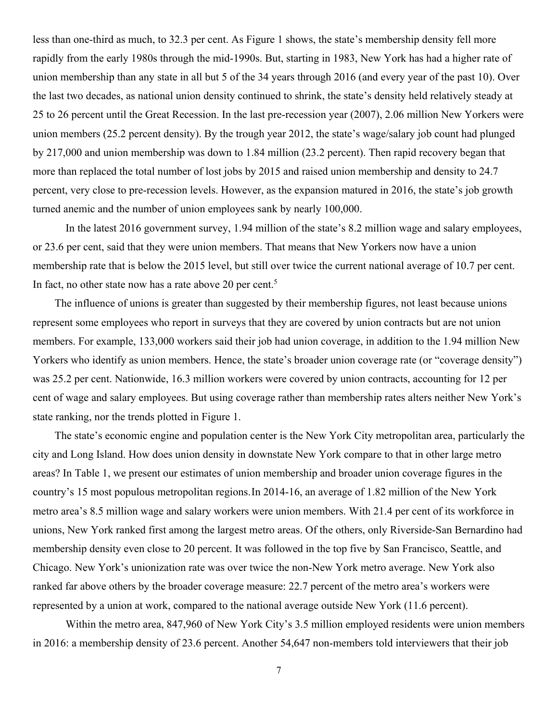less than one-third as much, to 32.3 per cent. As Figure 1 shows, the state's membership density fell more rapidly from the early 1980s through the mid-1990s. But, starting in 1983, New York has had a higher rate of union membership than any state in all but 5 of the 34 years through 2016 (and every year of the past 10). Over the last two decades, as national union density continued to shrink, the state's density held relatively steady at 25 to 26 percent until the Great Recession. In the last pre-recession year (2007), 2.06 million New Yorkers were union members (25.2 percent density). By the trough year 2012, the state's wage/salary job count had plunged by 217,000 and union membership was down to 1.84 million (23.2 percent). Then rapid recovery began that more than replaced the total number of lost jobs by 2015 and raised union membership and density to 24.7 percent, very close to pre-recession levels. However, as the expansion matured in 2016, the state's job growth turned anemic and the number of union employees sank by nearly 100,000.

In fact, no other state now has a rate above 20 per cent.<sup>5</sup> In the latest 2016 government survey, 1.94 million of the state's 8.2 million wage and salary employees, or 23.6 per cent, said that they were union members. That means that New Yorkers now have a union membership rate that is below the 2015 level, but still over twice the current national average of 10.7 per cent.

The influence of unions is greater than suggested by their membership figures, not least because unions represent some employees who report in surveys that they are covered by union contracts but are not union members. For example, 133,000 workers said their job had union coverage, in addition to the 1.94 million New Yorkers who identify as union members. Hence, the state's broader union coverage rate (or "coverage density") was 25.2 per cent. Nationwide, 16.3 million workers were covered by union contracts, accounting for 12 per cent of wage and salary employees. But using coverage rather than membership rates alters neither New York's state ranking, nor the trends plotted in Figure 1.

The state's economic engine and population center is the New York City metropolitan area, particularly the city and Long Island. How does union density in downstate New York compare to that in other large metro areas? In Table 1, we present our estimates of union membership and broader union coverage figures in the country's 15 most populous metropolitan regions.In 2014-16, an average of 1.82 million of the New York metro area's 8.5 million wage and salary workers were union members. With 21.4 per cent of its workforce in unions, New York ranked first among the largest metro areas. Of the others, only Riverside-San Bernardino had membership density even close to 20 percent. It was followed in the top five by San Francisco, Seattle, and Chicago. New York's unionization rate was over twice the non-New York metro average. New York also ranked far above others by the broader coverage measure: 22.7 percent of the metro area's workers were represented by a union at work, compared to the national average outside New York (11.6 percent).

Within the metro area, 847,960 of New York City's 3.5 million employed residents were union members in 2016: a membership density of 23.6 percent. Another 54,647 non-members told interviewers that their job

7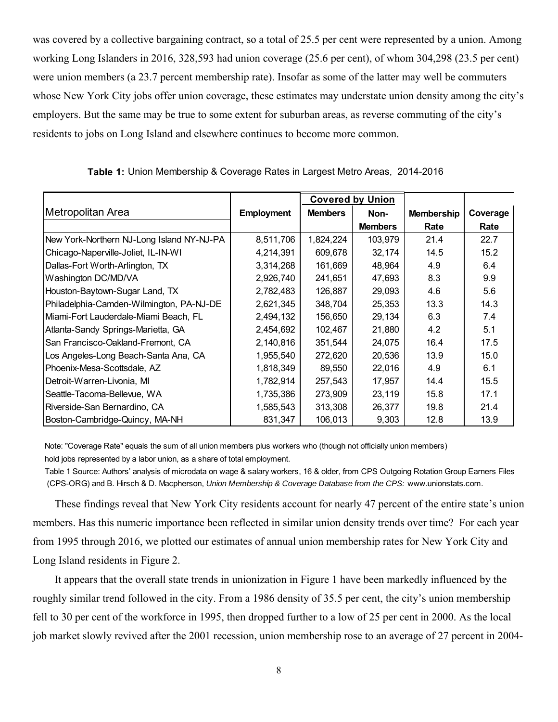was covered by a collective bargaining contract, so a total of 25.5 per cent were represented by a union. Among working Long Islanders in 2016, 328,593 had union coverage (25.6 per cent), of whom 304,298 (23.5 per cent) were union members (a 23.7 percent membership rate). Insofar as some of the latter may well be commuters whose New York City jobs offer union coverage, these estimates may understate union density among the city's employers. But the same may be true to some extent for suburban areas, as reverse commuting of the city's residents to jobs on Long Island and elsewhere continues to become more common.

|                                           |                   | <b>Covered by Union</b> |                |                   |          |
|-------------------------------------------|-------------------|-------------------------|----------------|-------------------|----------|
| Metropolitan Area                         | <b>Employment</b> | <b>Members</b>          | Non-           | <b>Membership</b> | Coverage |
|                                           |                   |                         | <b>Members</b> | Rate              | Rate     |
| New York-Northern NJ-Long Island NY-NJ-PA | 8,511,706         | 1,824,224               | 103,979        | 21.4              | 22.7     |
| Chicago-Naperville-Joliet, IL-IN-WI       | 4,214,391         | 609,678                 | 32,174         | 14.5              | 15.2     |
| Dallas-Fort Worth-Arlington, TX           | 3,314,268         | 161,669                 | 48,964         | 4.9               | 6.4      |
| Washington DC/MD/VA                       | 2,926,740         | 241,651                 | 47,693         | 8.3               | 9.9      |
| Houston-Baytown-Sugar Land, TX            | 2,782,483         | 126,887                 | 29,093         | 4.6               | 5.6      |
| Philadelphia-Camden-Wilmington, PA-NJ-DE  | 2,621,345         | 348,704                 | 25,353         | 13.3              | 14.3     |
| Miami-Fort Lauderdale-Miami Beach, FL     | 2,494,132         | 156,650                 | 29,134         | 6.3               | 7.4      |
| Atlanta-Sandy Springs-Marietta, GA        | 2,454,692         | 102,467                 | 21,880         | 4.2               | 5.1      |
| San Francisco-Oakland-Fremont, CA         | 2,140,816         | 351,544                 | 24,075         | 16.4              | 17.5     |
| Los Angeles-Long Beach-Santa Ana, CA      | 1,955,540         | 272,620                 | 20,536         | 13.9              | 15.0     |
| Phoenix-Mesa-Scottsdale, AZ               | 1,818,349         | 89,550                  | 22,016         | 4.9               | 6.1      |
| Detroit-Warren-Livonia, MI                | 1,782,914         | 257,543                 | 17,957         | 14.4              | 15.5     |
| Seattle-Tacoma-Bellevue, WA               | 1,735,386         | 273,909                 | 23,119         | 15.8              | 17.1     |
| Riverside-San Bernardino, CA              | 1,585,543         | 313,308                 | 26,377         | 19.8              | 21.4     |
| Boston-Cambridge-Quincy, MA-NH            | 831,347           | 106,013                 | 9,303          | 12.8              | 13.9     |

 **Table 1:** Union Membership & Coverage Rates in Largest Metro Areas, 2014-2016

 Note: "Coverage Rate" equals the sum of all union members plus workers who (though not officially union members) hold jobs represented by a labor union, as a share of total employment.

 Table 1 Source: Authors' analysis of microdata on wage & salary workers, 16 & older, from CPS Outgoing Rotation Group Earners Files  (CPS-ORG) and B. Hirsch & D. Macpherson, *Union Membership & Coverage Database from the CPS:* www.unionstats.com.

These findings reveal that New York City residents account for nearly 47 percent of the entire state's union members. Has this numeric importance been reflected in similar union density trends over time? For each year from 1995 through 2016, we plotted our estimates of annual union membership rates for New York City and Long Island residents in Figure 2.

It appears that the overall state trends in unionization in Figure 1 have been markedly influenced by the roughly similar trend followed in the city. From a 1986 density of 35.5 per cent, the city's union membership fell to 30 per cent of the workforce in 1995, then dropped further to a low of 25 per cent in 2000. As the local job market slowly revived after the 2001 recession, union membership rose to an average of 27 percent in 2004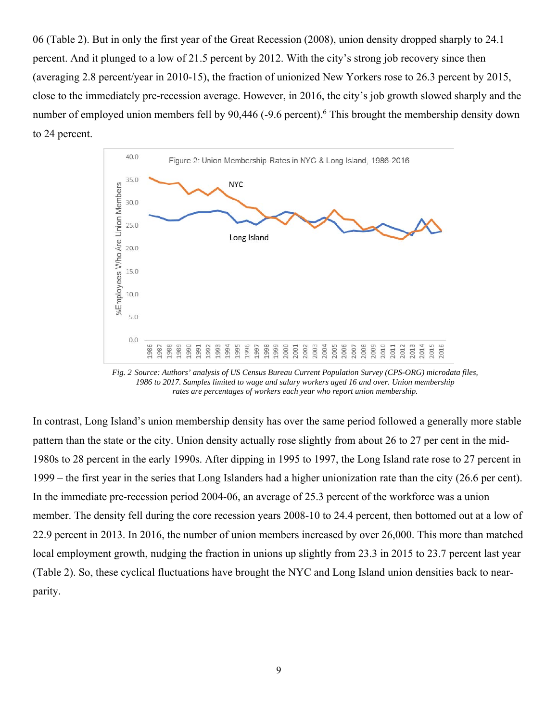06 (Table 2). But in only the first year of the Great Recession (2008), union density dropped sharply to 24.1 percent. And it plunged to a low of 21.5 percent by 2012. With the city's strong job recovery since then (averaging 2.8 percent/year in 2010-15), the fraction of unionized New Yorkers rose to 26.3 percent by 2015, close to the immediately pre-recession average. However, in 2016, the city's job growth slowed sharply and the number of employed union members fell by 90,446 (-9.6 percent). <sup>6</sup> This brought the membership density down to 24 percent.



*Fig. 2 Source: Authors' analysis of US Census Bureau Current Population Survey (CPS-ORG) microdata files, 1986 to 2017. Samples limited to wage and salary workers aged 16 and over. Union membership rates are percentages of workers each year who report union membership.*

In contrast, Long Island's union membership density has over the same period followed a generally more stable pattern than the state or the city. Union density actually rose slightly from about 26 to 27 per cent in the mid-1980s to 28 percent in the early 1990s. After dipping in 1995 to 1997, the Long Island rate rose to 27 percent in 1999 – the first year in the series that Long Islanders had a higher unionization rate than the city (26.6 per cent). In the immediate pre-recession period 2004-06, an average of 25.3 percent of the workforce was a union member. The density fell during the core recession years 2008-10 to 24.4 percent, then bottomed out at a low of 22.9 percent in 2013. In 2016, the number of union members increased by over 26,000. This more than matched local employment growth, nudging the fraction in unions up slightly from 23.3 in 2015 to 23.7 percent last year (Table 2). So, these cyclical fluctuations have brought the NYC and Long Island union densities back to nearparity.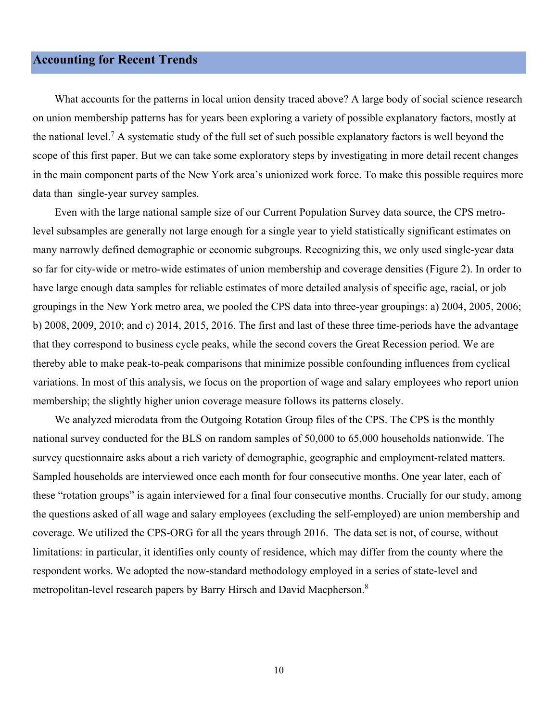#### <span id="page-9-0"></span>**Accounting for Recent Trends**

What accounts for the patterns in local union density traced above? A large body of social science research on union membership patterns has for years been exploring a variety of possible explanatory factors, mostly at the national level.<sup>7</sup> A systematic study of the full set of such possible explanatory factors is well beyond the scope of this first paper. But we can take some exploratory steps by investigating in more detail recent changes in the main component parts of the New York area's unionized work force. To make this possible requires more data than single-year survey samples.

Even with the large national sample size of our Current Population Survey data source, the CPS metrolevel subsamples are generally not large enough for a single year to yield statistically significant estimates on many narrowly defined demographic or economic subgroups. Recognizing this, we only used single-year data so far for city-wide or metro-wide estimates of union membership and coverage densities (Figure 2). In order to have large enough data samples for reliable estimates of more detailed analysis of specific age, racial, or job groupings in the New York metro area, we pooled the CPS data into three-year groupings: a) 2004, 2005, 2006; b) 2008, 2009, 2010; and c) 2014, 2015, 2016. The first and last of these three time-periods have the advantage that they correspond to business cycle peaks, while the second covers the Great Recession period. We are thereby able to make peak-to-peak comparisons that minimize possible confounding influences from cyclical variations. In most of this analysis, we focus on the proportion of wage and salary employees who report union membership; the slightly higher union coverage measure follows its patterns closely.

We analyzed microdata from the Outgoing Rotation Group files of the CPS. The CPS is the monthly national survey conducted for the BLS on random samples of 50,000 to 65,000 households nationwide. The survey questionnaire asks about a rich variety of demographic, geographic and employment-related matters. Sampled households are interviewed once each month for four consecutive months. One year later, each of these "rotation groups" is again interviewed for a final four consecutive months. Crucially for our study, among the questions asked of all wage and salary employees (excluding the self-employed) are union membership and coverage. We utilized the CPS-ORG for all the years through 2016. The data set is not, of course, without limitations: in particular, it identifies only county of residence, which may differ from the county where the respondent works. We adopted the now-standard methodology employed in a series of state-level and metropolitan-level research papers by Barry Hirsch and David Macpherson.<sup>8</sup>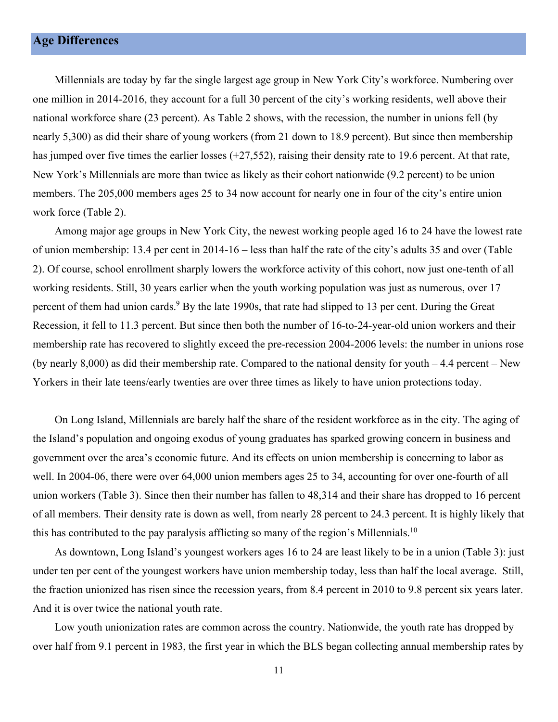<span id="page-10-0"></span>Millennials are today by far the single largest age group in New York City's workforce. Numbering over one million in 2014-2016, they account for a full 30 percent of the city's working residents, well above their national workforce share (23 percent). As Table 2 shows, with the recession, the number in unions fell (by nearly 5,300) as did their share of young workers (from 21 down to 18.9 percent). But since then membership has jumped over five times the earlier losses (+27,552), raising their density rate to 19.6 percent. At that rate, New York's Millennials are more than twice as likely as their cohort nationwide (9.2 percent) to be union members. The 205,000 members ages 25 to 34 now account for nearly one in four of the city's entire union work force (Table 2).

Among major age groups in New York City, the newest working people aged 16 to 24 have the lowest rate of union membership: 13.4 per cent in 2014-16 – less than half the rate of the city's adults 35 and over (Table 2). Of course, school enrollment sharply lowers the workforce activity of this cohort, now just one-tenth of all working residents. Still, 30 years earlier when the youth working population was just as numerous, over 17 percent of them had union cards.<sup>9</sup> By the late 1990s, that rate had slipped to 13 per cent. During the Great Recession, it fell to 11.3 percent. But since then both the number of 16-to-24-year-old union workers and their membership rate has recovered to slightly exceed the pre-recession 2004-2006 levels: the number in unions rose (by nearly 8,000) as did their membership rate. Compared to the national density for youth – 4.4 percent – New Yorkers in their late teens/early twenties are over three times as likely to have union protections today.

On Long Island, Millennials are barely half the share of the resident workforce as in the city. The aging of the Island's population and ongoing exodus of young graduates has sparked growing concern in business and government over the area's economic future. And its effects on union membership is concerning to labor as well. In 2004-06, there were over 64,000 union members ages 25 to 34, accounting for over one-fourth of all union workers (Table 3). Since then their number has fallen to 48,314 and their share has dropped to 16 percent of all members. Their density rate is down as well, from nearly 28 percent to 24.3 percent. It is highly likely that this has contributed to the pay paralysis afflicting so many of the region's Millennials.<sup>10</sup>

As downtown, Long Island's youngest workers ages 16 to 24 are least likely to be in a union (Table 3): just under ten per cent of the youngest workers have union membership today, less than half the local average. Still, the fraction unionized has risen since the recession years, from 8.4 percent in 2010 to 9.8 percent six years later. And it is over twice the national youth rate.

Low youth unionization rates are common across the country. Nationwide, the youth rate has dropped by over half from 9.1 percent in 1983, the first year in which the BLS began collecting annual membership rates by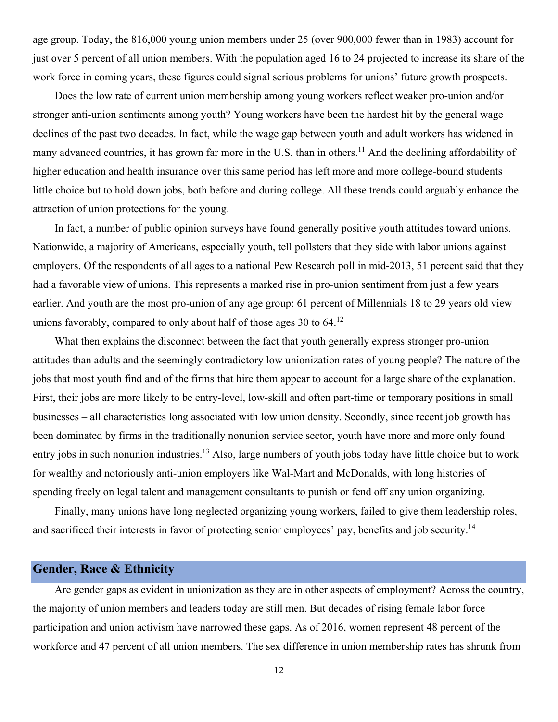<span id="page-11-0"></span>age group. Today, the 816,000 young union members under 25 (over 900,000 fewer than in 1983) account for just over 5 percent of all union members. With the population aged 16 to 24 projected to increase its share of the work force in coming years, these figures could signal serious problems for unions' future growth prospects.

Does the low rate of current union membership among young workers reflect weaker pro-union and/or stronger anti-union sentiments among youth? Young workers have been the hardest hit by the general wage declines of the past two decades. In fact, while the wage gap between youth and adult workers has widened in many advanced countries, it has grown far more in the U.S. than in others.<sup>11</sup> And the declining affordability of higher education and health insurance over this same period has left more and more college-bound students little choice but to hold down jobs, both before and during college. All these trends could arguably enhance the attraction of union protections for the young.

In fact, a number of public opinion surveys have found generally positive youth attitudes toward unions. Nationwide, a majority of Americans, especially youth, tell pollsters that they side with labor unions against employers. Of the respondents of all ages to a national Pew Research poll in mid-2013, 51 percent said that they had a favorable view of unions. This represents a marked rise in pro-union sentiment from just a few years earlier. And youth are the most pro-union of any age group: 61 percent of Millennials 18 to 29 years old view unions favorably, compared to only about half of those ages 30 to 64.<sup>12</sup>

What then explains the disconnect between the fact that youth generally express stronger pro-union attitudes than adults and the seemingly contradictory low unionization rates of young people? The nature of the jobs that most youth find and of the firms that hire them appear to account for a large share of the explanation. First, their jobs are more likely to be entry-level, low-skill and often part-time or temporary positions in small businesses – all characteristics long associated with low union density. Secondly, since recent job growth has been dominated by firms in the traditionally nonunion service sector, youth have more and more only found entry jobs in such nonunion industries.<sup>13</sup> Also, large numbers of youth jobs today have little choice but to work for wealthy and notoriously anti-union employers like Wal-Mart and McDonalds, with long histories of spending freely on legal talent and management consultants to punish or fend off any union organizing.

and sacrificed their interests in favor of protecting senior employees' pay, benefits and job security.<sup>14</sup> Finally, many unions have long neglected organizing young workers, failed to give them leadership roles,

#### **Gender, Race & Ethnicity**

Are gender gaps as evident in unionization as they are in other aspects of employment? Across the country, the majority of union members and leaders today are still men. But decades of rising female labor force participation and union activism have narrowed these gaps. As of 2016, women represent 48 percent of the workforce and 47 percent of all union members. The sex difference in union membership rates has shrunk from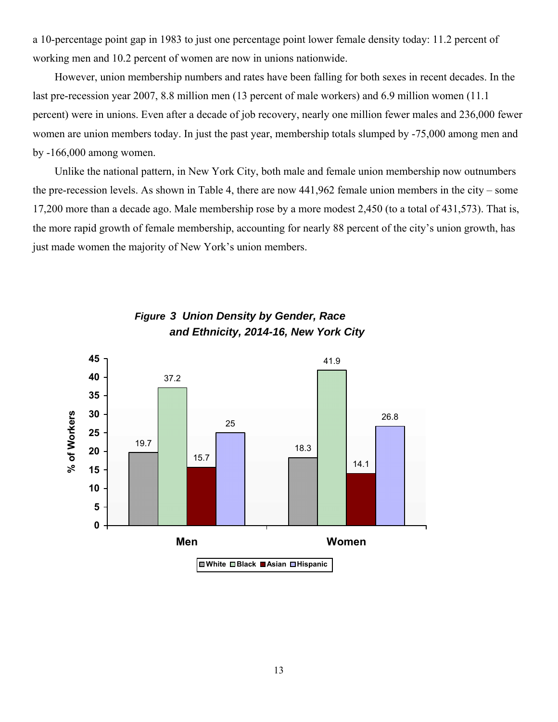a 10-percentage point gap in 1983 to just one percentage point lower female density today: 11.2 percent of working men and 10.2 percent of women are now in unions nationwide.

However, union membership numbers and rates have been falling for both sexes in recent decades. In the last pre-recession year 2007, 8.8 million men (13 percent of male workers) and 6.9 million women (11.1 percent) were in unions. Even after a decade of job recovery, nearly one million fewer males and 236,000 fewer women are union members today. In just the past year, membership totals slumped by -75,000 among men and by -166,000 among women.

Unlike the national pattern, in New York City, both male and female union membership now outnumbers the pre-recession levels. As shown in Table 4, there are now 441,962 female union members in the city – some 17,200 more than a decade ago. Male membership rose by a more modest 2,450 (to a total of 431,573). That is, the more rapid growth of female membership, accounting for nearly 88 percent of the city's union growth, has just made women the majority of New York's union members.



#### *Figure 3 Union Density by Gender, Race and Ethnicity, 2014-16, New York City*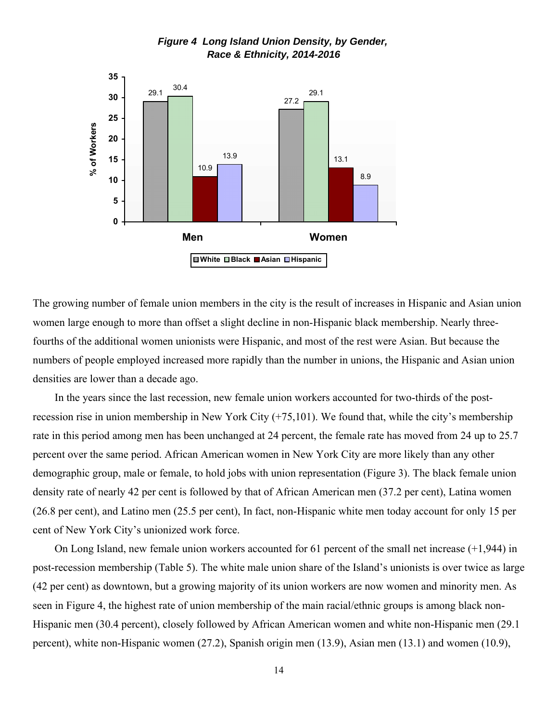

*Figure 4 Long Island Union Density, by Gender, Race & Ethnicity, 2014-2016*

The growing number of female union members in the city is the result of increases in Hispanic and Asian union women large enough to more than offset a slight decline in non-Hispanic black membership. Nearly threefourths of the additional women unionists were Hispanic, and most of the rest were Asian. But because the numbers of people employed increased more rapidly than the number in unions, the Hispanic and Asian union densities are lower than a decade ago.

In the years since the last recession, new female union workers accounted for two-thirds of the postrecession rise in union membership in New York City (+75,101). We found that, while the city's membership rate in this period among men has been unchanged at 24 percent, the female rate has moved from 24 up to 25.7 percent over the same period. African American women in New York City are more likely than any other demographic group, male or female, to hold jobs with union representation (Figure 3). The black female union density rate of nearly 42 per cent is followed by that of African American men (37.2 per cent), Latina women (26.8 per cent), and Latino men (25.5 per cent), In fact, non-Hispanic white men today account for only 15 per cent of New York City's unionized work force.

On Long Island, new female union workers accounted for 61 percent of the small net increase (+1,944) in post-recession membership (Table 5). The white male union share of the Island's unionists is over twice as large (42 per cent) as downtown, but a growing majority of its union workers are now women and minority men. As seen in Figure 4, the highest rate of union membership of the main racial/ethnic groups is among black non-Hispanic men (30.4 percent), closely followed by African American women and white non-Hispanic men (29.1 percent), white non-Hispanic women (27.2), Spanish origin men (13.9), Asian men (13.1) and women (10.9),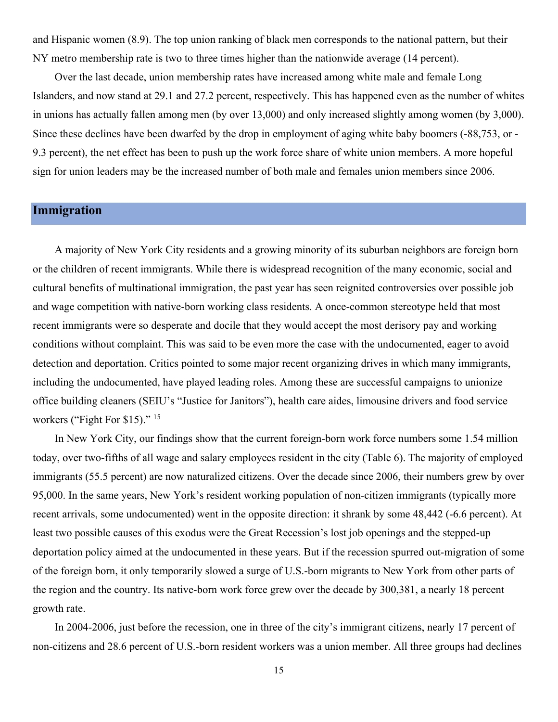<span id="page-14-0"></span>and Hispanic women (8.9). The top union ranking of black men corresponds to the national pattern, but their NY metro membership rate is two to three times higher than the nationwide average (14 percent).

Over the last decade, union membership rates have increased among white male and female Long Islanders, and now stand at 29.1 and 27.2 percent, respectively. This has happened even as the number of whites in unions has actually fallen among men (by over 13,000) and only increased slightly among women (by 3,000). Since these declines have been dwarfed by the drop in employment of aging white baby boomers (-88,753, or - 9.3 percent), the net effect has been to push up the work force share of white union members. A more hopeful sign for union leaders may be the increased number of both male and females union members since 2006.

#### **Immigration**

A majority of New York City residents and a growing minority of its suburban neighbors are foreign born or the children of recent immigrants. While there is widespread recognition of the many economic, social and cultural benefits of multinational immigration, the past year has seen reignited controversies over possible job and wage competition with native-born working class residents. A once-common stereotype held that most recent immigrants were so desperate and docile that they would accept the most derisory pay and working conditions without complaint. This was said to be even more the case with the undocumented, eager to avoid detection and deportation. Critics pointed to some major recent organizing drives in which many immigrants, including the undocumented, have played leading roles. Among these are successful campaigns to unionize office building cleaners (SEIU's "Justice for Janitors"), health care aides, limousine drivers and food service workers ("Fight For \$15)." <sup>15</sup>

In New York City, our findings show that the current foreign-born work force numbers some 1.54 million today, over two-fifths of all wage and salary employees resident in the city (Table 6). The majority of employed immigrants (55.5 percent) are now naturalized citizens. Over the decade since 2006, their numbers grew by over 95,000. In the same years, New York's resident working population of non-citizen immigrants (typically more recent arrivals, some undocumented) went in the opposite direction: it shrank by some 48,442 (-6.6 percent). At least two possible causes of this exodus were the Great Recession's lost job openings and the stepped-up deportation policy aimed at the undocumented in these years. But if the recession spurred out-migration of some of the foreign born, it only temporarily slowed a surge of U.S.-born migrants to New York from other parts of the region and the country. Its native-born work force grew over the decade by 300,381, a nearly 18 percent growth rate.

In 2004-2006, just before the recession, one in three of the city's immigrant citizens, nearly 17 percent of non-citizens and 28.6 percent of U.S.-born resident workers was a union member. All three groups had declines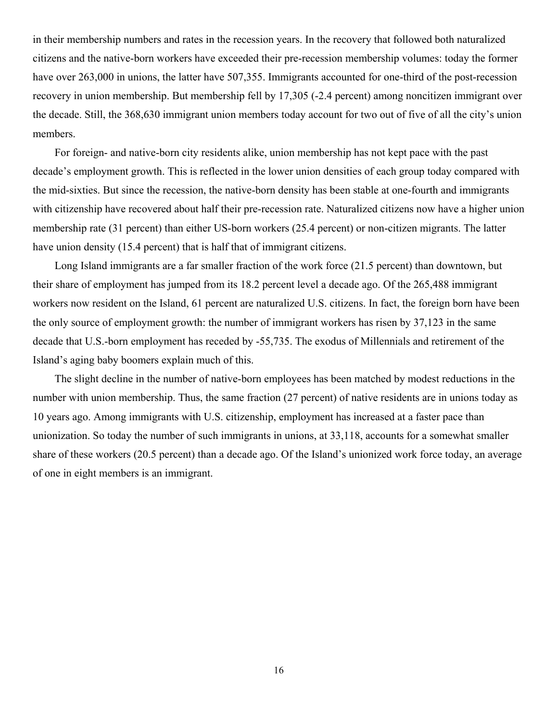in their membership numbers and rates in the recession years. In the recovery that followed both naturalized citizens and the native-born workers have exceeded their pre-recession membership volumes: today the former have over 263,000 in unions, the latter have 507,355. Immigrants accounted for one-third of the post-recession recovery in union membership. But membership fell by 17,305 (-2.4 percent) among noncitizen immigrant over the decade. Still, the 368,630 immigrant union members today account for two out of five of all the city's union members.

For foreign- and native-born city residents alike, union membership has not kept pace with the past decade's employment growth. This is reflected in the lower union densities of each group today compared with the mid-sixties. But since the recession, the native-born density has been stable at one-fourth and immigrants with citizenship have recovered about half their pre-recession rate. Naturalized citizens now have a higher union membership rate (31 percent) than either US-born workers (25.4 percent) or non-citizen migrants. The latter have union density (15.4 percent) that is half that of immigrant citizens.

Long Island immigrants are a far smaller fraction of the work force (21.5 percent) than downtown, but their share of employment has jumped from its 18.2 percent level a decade ago. Of the 265,488 immigrant workers now resident on the Island, 61 percent are naturalized U.S. citizens. In fact, the foreign born have been the only source of employment growth: the number of immigrant workers has risen by 37,123 in the same decade that U.S.-born employment has receded by -55,735. The exodus of Millennials and retirement of the Island's aging baby boomers explain much of this.

The slight decline in the number of native-born employees has been matched by modest reductions in the number with union membership. Thus, the same fraction (27 percent) of native residents are in unions today as 10 years ago. Among immigrants with U.S. citizenship, employment has increased at a faster pace than unionization. So today the number of such immigrants in unions, at 33,118, accounts for a somewhat smaller share of these workers (20.5 percent) than a decade ago. Of the Island's unionized work force today, an average of one in eight members is an immigrant.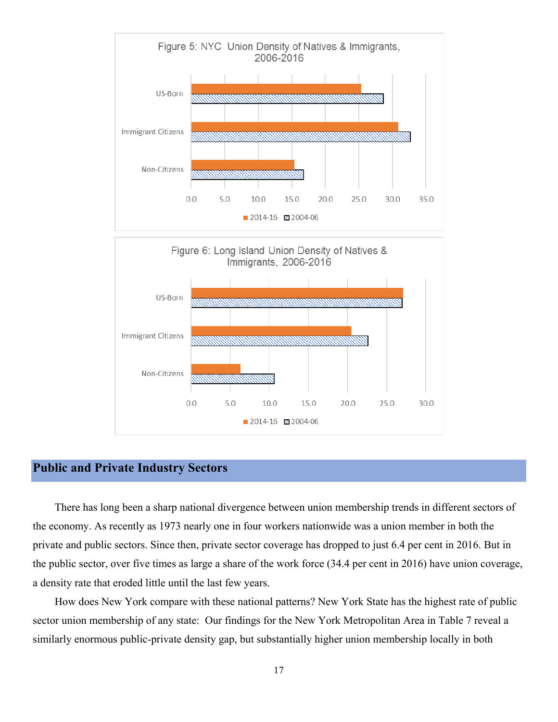<span id="page-16-0"></span>

#### **Public and Private Industry Sectors**

There has long been a sharp national divergence between union membership trends in different sectors of the economy. As recently as 1973 nearly one in four workers nationwide was a union member in both the private and public sectors. Since then, private sector coverage has dropped to just 6.4 per cent in 2016. But in the public sector, over five times as large a share of the work force (34.4 per cent in 2016) have union coverage, a density rate that eroded little until the last few years.

How does New York compare with these national patterns? New York State has the highest rate of public sector union membership of any state: Our findings for the New York Metropolitan Area in Table 7 reveal a similarly enormous public-private density gap, but substantially higher union membership locally in both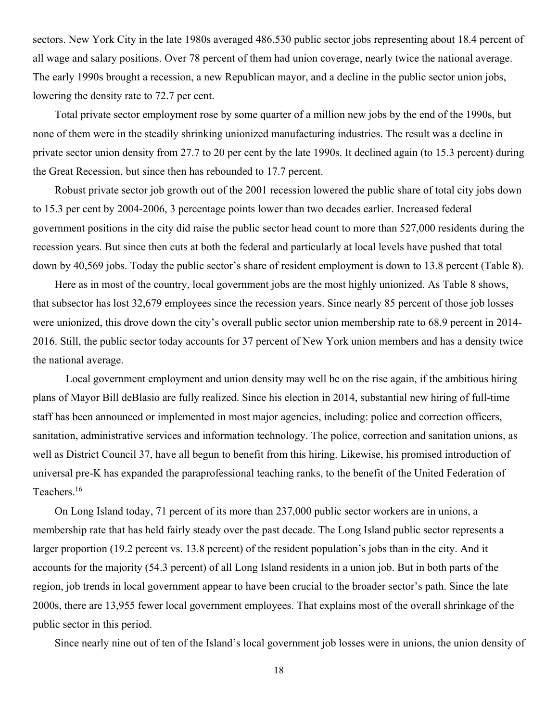sectors. New York City in the late 1980s averaged 486,530 public sector jobs representing about 18.4 percent of all wage and salary positions. Over 78 percent of them had union coverage, nearly twice the national average. The early 1990s brought a recession, a new Republican mayor, and a decline in the public sector union jobs, lowering the density rate to 72.7 per cent.

Total private sector employment rose by some quarter of a million new jobs by the end of the 1990s, but none of them were in the steadily shrinking unionized manufacturing industries. The result was a decline in private sector union density from 27.7 to 20 per cent by the late 1990s. It declined again (to 15.3 percent) during the Great Recession, but since then has rebounded to 17.7 percent.

Robust private sector job growth out of the 2001 recession lowered the public share of total city jobs down to 15.3 per cent by 2004-2006, 3 percentage points lower than two decades earlier. Increased federal government positions in the city did raise the public sector head count to more than 527,000 residents during the recession years. But since then cuts at both the federal and particularly at local levels have pushed that total down by 40,569 jobs. Today the public sector's share of resident employment is down to 13.8 percent (Table 8).

Here as in most of the country, local government jobs are the most highly unionized. As Table 8 shows, that subsector has lost 32,679 employees since the recession years. Since nearly 85 percent of those job losses were unionized, this drove down the city's overall public sector union membership rate to 68.9 percent in 2014- 2016. Still, the public sector today accounts for 37 percent of New York union members and has a density twice the national average.

Local government employment and union density may well be on the rise again, if the ambitious hiring plans of Mayor Bill deBlasio are fully realized. Since his election in 2014, substantial new hiring of full-time staff has been announced or implemented in most major agencies, including: police and correction officers, sanitation, administrative services and information technology. The police, correction and sanitation unions, as well as District Council 37, have all begun to benefit from this hiring. Likewise, his promised introduction of universal pre-K has expanded the paraprofessional teaching ranks, to the benefit of the United Federation of Teachers.16

On Long Island today, 71 percent of its more than 237,000 public sector workers are in unions, a membership rate that has held fairly steady over the past decade. The Long Island public sector represents a larger proportion (19.2 percent vs. 13.8 percent) of the resident population's jobs than in the city. And it accounts for the majority (54.3 percent) of all Long Island residents in a union job. But in both parts of the region, job trends in local government appear to have been crucial to the broader sector's path. Since the late 2000s, there are 13,955 fewer local government employees. That explains most of the overall shrinkage of the public sector in this period.

Since nearly nine out of ten of the Island's local government job losses were in unions, the union density of

18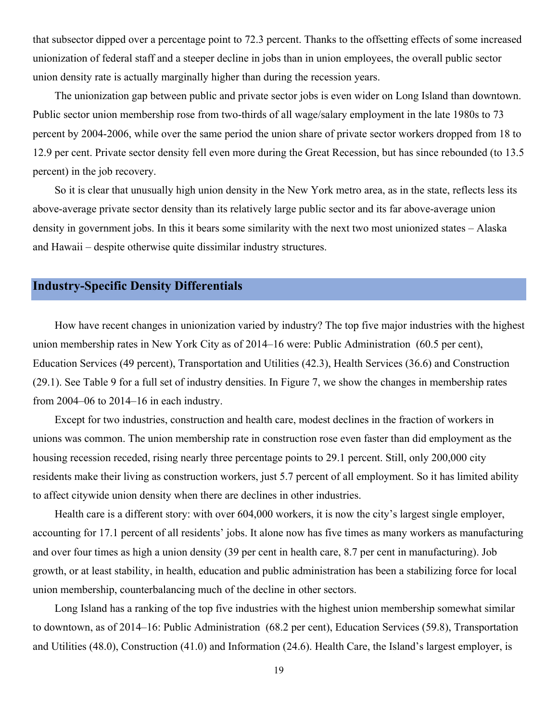<span id="page-18-0"></span>that subsector dipped over a percentage point to 72.3 percent. Thanks to the offsetting effects of some increased unionization of federal staff and a steeper decline in jobs than in union employees, the overall public sector union density rate is actually marginally higher than during the recession years.

The unionization gap between public and private sector jobs is even wider on Long Island than downtown. Public sector union membership rose from two-thirds of all wage/salary employment in the late 1980s to 73 percent by 2004-2006, while over the same period the union share of private sector workers dropped from 18 to 12.9 per cent. Private sector density fell even more during the Great Recession, but has since rebounded (to 13.5 percent) in the job recovery.

So it is clear that unusually high union density in the New York metro area, as in the state, reflects less its above-average private sector density than its relatively large public sector and its far above-average union density in government jobs. In this it bears some similarity with the next two most unionized states – Alaska and Hawaii – despite otherwise quite dissimilar industry structures.

#### **Industry-Specific Density Differentials**

How have recent changes in unionization varied by industry? The top five major industries with the highest union membership rates in New York City as of 2014–16 were: Public Administration (60.5 per cent), Education Services (49 percent), Transportation and Utilities (42.3), Health Services (36.6) and Construction (29.1). See Table 9 for a full set of industry densities. In Figure 7, we show the changes in membership rates from 2004–06 to 2014–16 in each industry.

Except for two industries, construction and health care, modest declines in the fraction of workers in unions was common. The union membership rate in construction rose even faster than did employment as the housing recession receded, rising nearly three percentage points to 29.1 percent. Still, only 200,000 city residents make their living as construction workers, just 5.7 percent of all employment. So it has limited ability to affect citywide union density when there are declines in other industries.

Health care is a different story: with over 604,000 workers, it is now the city's largest single employer, accounting for 17.1 percent of all residents' jobs. It alone now has five times as many workers as manufacturing and over four times as high a union density (39 per cent in health care, 8.7 per cent in manufacturing). Job growth, or at least stability, in health, education and public administration has been a stabilizing force for local union membership, counterbalancing much of the decline in other sectors.

Long Island has a ranking of the top five industries with the highest union membership somewhat similar to downtown, as of 2014–16: Public Administration (68.2 per cent), Education Services (59.8), Transportation and Utilities (48.0), Construction (41.0) and Information (24.6). Health Care, the Island's largest employer, is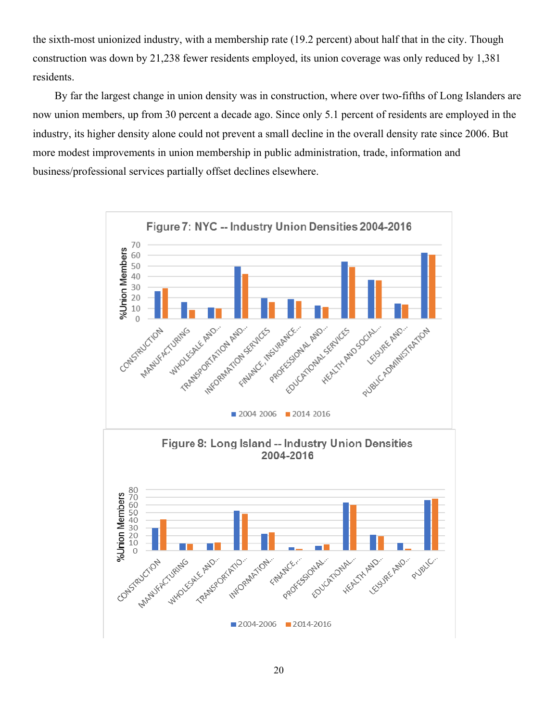the sixth-most unionized industry, with a membership rate (19.2 percent) about half that in the city. Though construction was down by 21,238 fewer residents employed, its union coverage was only reduced by 1,381 residents.

By far the largest change in union density was in construction, where over two-fifths of Long Islanders are now union members, up from 30 percent a decade ago. Since only 5.1 percent of residents are employed in the industry, its higher density alone could not prevent a small decline in the overall density rate since 2006. But more modest improvements in union membership in public administration, trade, information and business/professional services partially offset declines elsewhere.

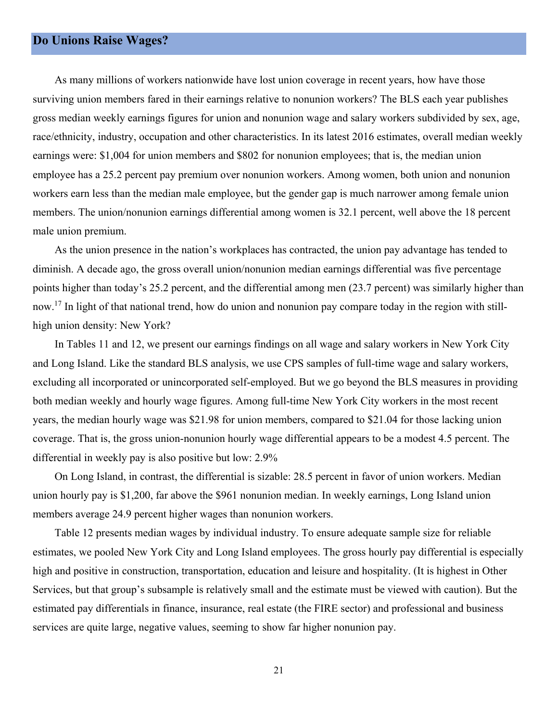#### <span id="page-20-0"></span>**Do Unions Raise Wages?**

male union premium. As many millions of workers nationwide have lost union coverage in recent years, how have those surviving union members fared in their earnings relative to nonunion workers? The BLS each year publishes gross median weekly earnings figures for union and nonunion wage and salary workers subdivided by sex, age, race/ethnicity, industry, occupation and other characteristics. In its latest 2016 estimates, overall median weekly earnings were: \$1,004 for union members and \$802 for nonunion employees; that is, the median union employee has a 25.2 percent pay premium over nonunion workers. Among women, both union and nonunion workers earn less than the median male employee, but the gender gap is much narrower among female union members. The union/nonunion earnings differential among women is 32.1 percent, well above the 18 percent

As the union presence in the nation's workplaces has contracted, the union pay advantage has tended to diminish. A decade ago, the gross overall union/nonunion median earnings differential was five percentage points higher than today's 25.2 percent, and the differential among men (23.7 percent) was similarly higher than now.<sup>17</sup> In light of that national trend, how do union and nonunion pay compare today in the region with stillhigh union density: New York?

In Tables 11 and 12, we present our earnings findings on all wage and salary workers in New York City and Long Island. Like the standard BLS analysis, we use CPS samples of full-time wage and salary workers, excluding all incorporated or unincorporated self-employed. But we go beyond the BLS measures in providing both median weekly and hourly wage figures. Among full-time New York City workers in the most recent years, the median hourly wage was \$21.98 for union members, compared to \$21.04 for those lacking union coverage. That is, the gross union-nonunion hourly wage differential appears to be a modest 4.5 percent. The differential in weekly pay is also positive but low: 2.9%

On Long Island, in contrast, the differential is sizable: 28.5 percent in favor of union workers. Median union hourly pay is \$1,200, far above the \$961 nonunion median. In weekly earnings, Long Island union members average 24.9 percent higher wages than nonunion workers.

Table 12 presents median wages by individual industry. To ensure adequate sample size for reliable estimates, we pooled New York City and Long Island employees. The gross hourly pay differential is especially high and positive in construction, transportation, education and leisure and hospitality. (It is highest in Other Services, but that group's subsample is relatively small and the estimate must be viewed with caution). But the estimated pay differentials in finance, insurance, real estate (the FIRE sector) and professional and business services are quite large, negative values, seeming to show far higher nonunion pay.

21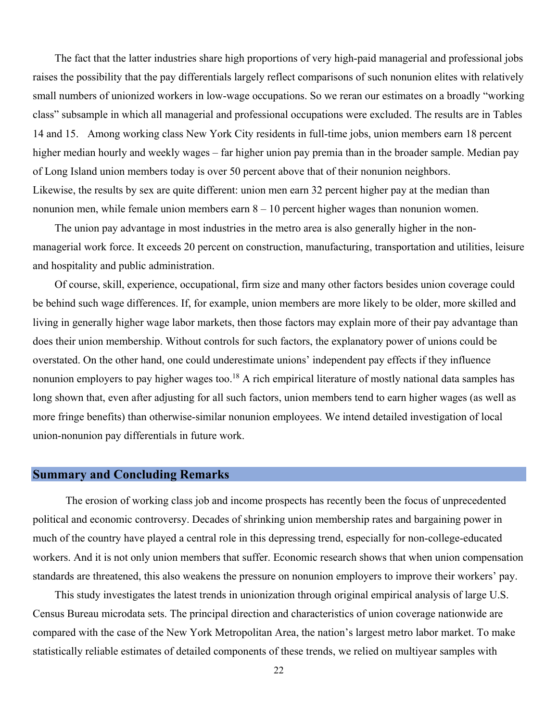<span id="page-21-0"></span>The fact that the latter industries share high proportions of very high-paid managerial and professional jobs raises the possibility that the pay differentials largely reflect comparisons of such nonunion elites with relatively small numbers of unionized workers in low-wage occupations. So we reran our estimates on a broadly "working class" subsample in which all managerial and professional occupations were excluded. The results are in Tables 14 and 15. Among working class New York City residents in full-time jobs, union members earn 18 percent higher median hourly and weekly wages – far higher union pay premia than in the broader sample. Median pay of Long Island union members today is over 50 percent above that of their nonunion neighbors. Likewise, the results by sex are quite different: union men earn 32 percent higher pay at the median than nonunion men, while female union members earn  $8 - 10$  percent higher wages than nonunion women.

The union pay advantage in most industries in the metro area is also generally higher in the nonmanagerial work force. It exceeds 20 percent on construction, manufacturing, transportation and utilities, leisure and hospitality and public administration.

Of course, skill, experience, occupational, firm size and many other factors besides union coverage could be behind such wage differences. If, for example, union members are more likely to be older, more skilled and living in generally higher wage labor markets, then those factors may explain more of their pay advantage than does their union membership. Without controls for such factors, the explanatory power of unions could be overstated. On the other hand, one could underestimate unions' independent pay effects if they influence nonunion employers to pay higher wages too.<sup>18</sup> A rich empirical literature of mostly national data samples has long shown that, even after adjusting for all such factors, union members tend to earn higher wages (as well as more fringe benefits) than otherwise-similar nonunion employees. We intend detailed investigation of local union-nonunion pay differentials in future work.

#### **Summary and Concluding Remarks**

The erosion of working class job and income prospects has recently been the focus of unprecedented political and economic controversy. Decades of shrinking union membership rates and bargaining power in much of the country have played a central role in this depressing trend, especially for non-college-educated workers. And it is not only union members that suffer. Economic research shows that when union compensation standards are threatened, this also weakens the pressure on nonunion employers to improve their workers' pay.

This study investigates the latest trends in unionization through original empirical analysis of large U.S. Census Bureau microdata sets. The principal direction and characteristics of union coverage nationwide are compared with the case of the New York Metropolitan Area, the nation's largest metro labor market. To make statistically reliable estimates of detailed components of these trends, we relied on multiyear samples with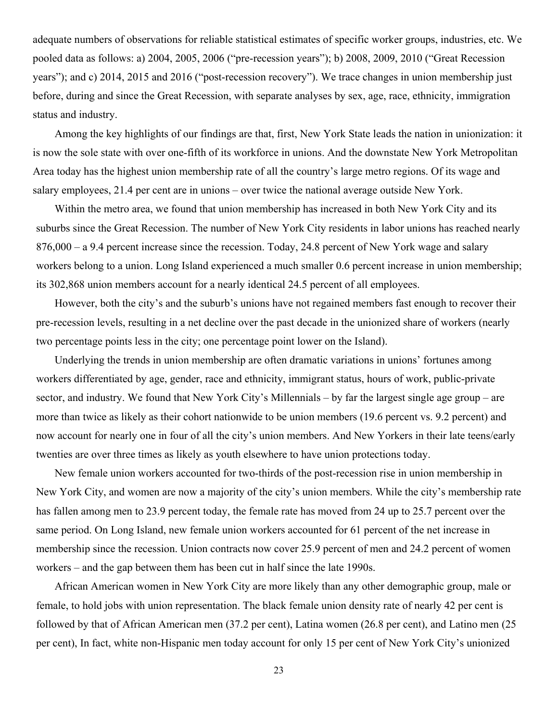adequate numbers of observations for reliable statistical estimates of specific worker groups, industries, etc. We pooled data as follows: a) 2004, 2005, 2006 ("pre-recession years"); b) 2008, 2009, 2010 ("Great Recession years"); and c) 2014, 2015 and 2016 ("post-recession recovery"). We trace changes in union membership just before, during and since the Great Recession, with separate analyses by sex, age, race, ethnicity, immigration status and industry.

Among the key highlights of our findings are that, first, New York State leads the nation in unionization: it is now the sole state with over one-fifth of its workforce in unions. And the downstate New York Metropolitan Area today has the highest union membership rate of all the country's large metro regions. Of its wage and salary employees, 21.4 per cent are in unions – over twice the national average outside New York.

Within the metro area, we found that union membership has increased in both New York City and its suburbs since the Great Recession. The number of New York City residents in labor unions has reached nearly 876,000 – a 9.4 percent increase since the recession. Today, 24.8 percent of New York wage and salary workers belong to a union. Long Island experienced a much smaller 0.6 percent increase in union membership; its 302,868 union members account for a nearly identical 24.5 percent of all employees.

However, both the city's and the suburb's unions have not regained members fast enough to recover their pre-recession levels, resulting in a net decline over the past decade in the unionized share of workers (nearly two percentage points less in the city; one percentage point lower on the Island).

Underlying the trends in union membership are often dramatic variations in unions' fortunes among workers differentiated by age, gender, race and ethnicity, immigrant status, hours of work, public-private sector, and industry. We found that New York City's Millennials – by far the largest single age group – are more than twice as likely as their cohort nationwide to be union members (19.6 percent vs. 9.2 percent) and now account for nearly one in four of all the city's union members. And New Yorkers in their late teens/early twenties are over three times as likely as youth elsewhere to have union protections today.

New female union workers accounted for two-thirds of the post-recession rise in union membership in New York City, and women are now a majority of the city's union members. While the city's membership rate has fallen among men to 23.9 percent today, the female rate has moved from 24 up to 25.7 percent over the same period. On Long Island, new female union workers accounted for 61 percent of the net increase in membership since the recession. Union contracts now cover 25.9 percent of men and 24.2 percent of women workers – and the gap between them has been cut in half since the late 1990s.

African American women in New York City are more likely than any other demographic group, male or female, to hold jobs with union representation. The black female union density rate of nearly 42 per cent is followed by that of African American men (37.2 per cent), Latina women (26.8 per cent), and Latino men (25 per cent), In fact, white non-Hispanic men today account for only 15 per cent of New York City's unionized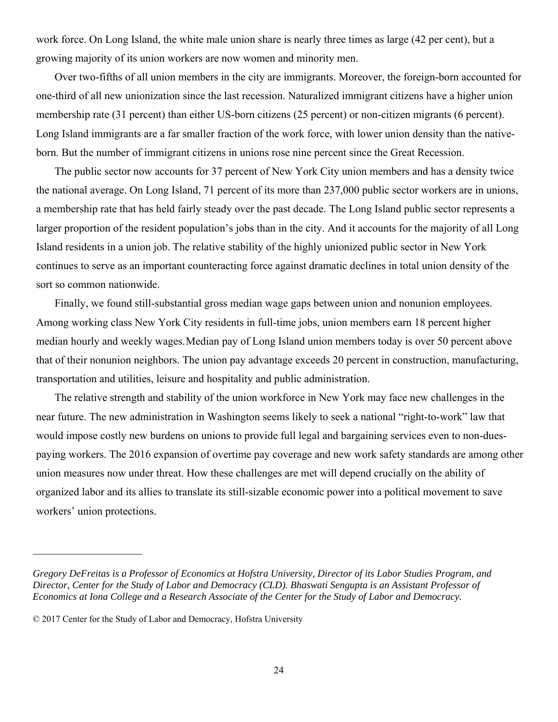work force. On Long Island, the white male union share is nearly three times as large (42 per cent), but a growing majority of its union workers are now women and minority men.

Over two-fifths of all union members in the city are immigrants. Moreover, the foreign-born accounted for one-third of all new unionization since the last recession. Naturalized immigrant citizens have a higher union membership rate (31 percent) than either US-born citizens (25 percent) or non-citizen migrants (6 percent). Long Island immigrants are a far smaller fraction of the work force, with lower union density than the nativeborn. But the number of immigrant citizens in unions rose nine percent since the Great Recession.

The public sector now accounts for 37 percent of New York City union members and has a density twice the national average. On Long Island, 71 percent of its more than 237,000 public sector workers are in unions, a membership rate that has held fairly steady over the past decade. The Long Island public sector represents a larger proportion of the resident population's jobs than in the city. And it accounts for the majority of all Long Island residents in a union job. The relative stability of the highly unionized public sector in New York continues to serve as an important counteracting force against dramatic declines in total union density of the sort so common nationwide.

Finally, we found still-substantial gross median wage gaps between union and nonunion employees. Among working class New York City residents in full-time jobs, union members earn 18 percent higher median hourly and weekly wages. Median pay of Long Island union members today is over 50 percent above that of their nonunion neighbors. The union pay advantage exceeds 20 percent in construction, manufacturing, transportation and utilities, leisure and hospitality and public administration.

The relative strength and stability of the union workforce in New York may face new challenges in the near future. The new administration in Washington seems likely to seek a national "right-to-work" law that would impose costly new burdens on unions to provide full legal and bargaining services even to non-duespaying workers. The 2016 expansion of overtime pay coverage and new work safety standards are among other union measures now under threat. How these challenges are met will depend crucially on the ability of organized labor and its allies to translate its still-sizable economic power into a political movement to save workers' union protections.

*Gregory DeFreitas is a Professor of Economics at Hofstra University, Director of its Labor Studies Program, and Director, Center for the Study of Labor and Democracy (CLD). Bhaswati Sengupta is an Assistant Professor of Economics at Iona College and a Research Associate of the Center for the Study of Labor and Democracy.* 

 © 2017 Center for the Study of Labor and Democracy, Hofstra University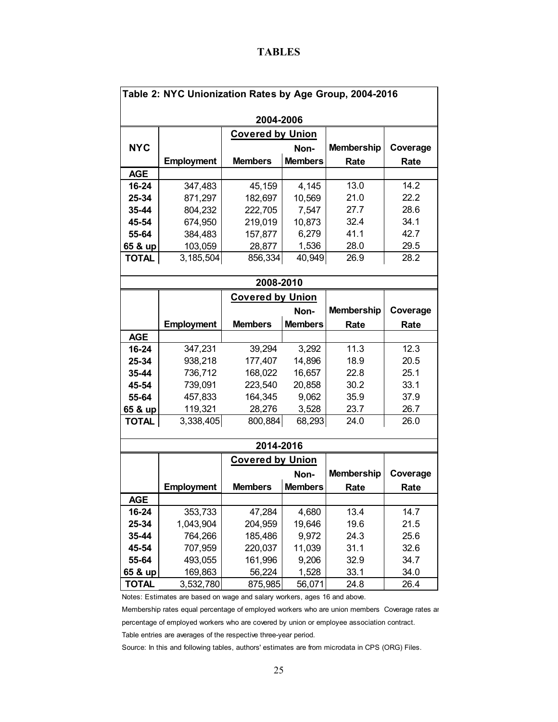#### **TABLES**

| Table 2: NYC Unionization Rates by Age Group, 2004-2016 |                   |                         |                |                   |          |  |  |  |  |  |
|---------------------------------------------------------|-------------------|-------------------------|----------------|-------------------|----------|--|--|--|--|--|
|                                                         | 2004-2006         |                         |                |                   |          |  |  |  |  |  |
| <b>Covered by Union</b>                                 |                   |                         |                |                   |          |  |  |  |  |  |
| <b>NYC</b>                                              |                   |                         | Non-           | <b>Membership</b> | Coverage |  |  |  |  |  |
|                                                         | <b>Employment</b> | <b>Members</b>          | <b>Members</b> | Rate              | Rate     |  |  |  |  |  |
| <b>AGE</b>                                              |                   |                         |                |                   |          |  |  |  |  |  |
| 16-24                                                   | 347,483           | 45,159                  | 4,145          | 13.0              | 14.2     |  |  |  |  |  |
| 25-34                                                   | 871,297           | 182,697                 | 10,569         | 21.0              | 22.2     |  |  |  |  |  |
| 35-44                                                   | 804,232           | 222,705                 | 7,547          | 27.7              | 28.6     |  |  |  |  |  |
| 45-54                                                   | 674,950           | 219,019                 | 10,873         | 32.4              | 34.1     |  |  |  |  |  |
| 55-64                                                   | 384,483           | 157,877                 | 6,279          | 41.1              | 42.7     |  |  |  |  |  |
| 65 & up                                                 | 103,059           | 28,877                  | 1,536          | 28.0              | 29.5     |  |  |  |  |  |
| <b>TOTAL</b>                                            | 3,185,504         | 856,334                 | 40,949         | 26.9              | 28.2     |  |  |  |  |  |
|                                                         |                   |                         |                |                   |          |  |  |  |  |  |
|                                                         |                   | 2008-2010               |                |                   |          |  |  |  |  |  |
|                                                         |                   | <b>Covered by Union</b> |                |                   |          |  |  |  |  |  |
|                                                         |                   |                         | Non-           | <b>Membership</b> | Coverage |  |  |  |  |  |
|                                                         | <b>Employment</b> | <b>Members</b>          | <b>Members</b> | Rate              | Rate     |  |  |  |  |  |
| <b>AGE</b>                                              |                   |                         |                |                   |          |  |  |  |  |  |
| 16-24                                                   | 347,231           | 39,294                  | 3,292          | 11.3              | 12.3     |  |  |  |  |  |
| 25-34                                                   | 938,218           | 177,407                 | 14,896         | 18.9              | 20.5     |  |  |  |  |  |
| 35-44                                                   | 736,712           | 168,022                 | 16,657         | 22.8              | 25.1     |  |  |  |  |  |
| 45-54                                                   | 739,091           | 223,540                 | 20,858         | 30.2              | 33.1     |  |  |  |  |  |
| 55-64                                                   | 457,833           | 164,345                 | 9,062          | 35.9              | 37.9     |  |  |  |  |  |
| 65 & up                                                 | 119,321           | 28,276                  | 3,528          | 23.7              | 26.7     |  |  |  |  |  |
| <b>TOTAL</b>                                            | 3,338,405         | 800,884                 | 68,293         | 24.0              | 26.0     |  |  |  |  |  |
|                                                         |                   | 2014-2016               |                |                   |          |  |  |  |  |  |
|                                                         |                   | <b>Covered by Union</b> |                |                   |          |  |  |  |  |  |
|                                                         |                   |                         | Non-           | <b>Membership</b> | Coverage |  |  |  |  |  |
|                                                         | <b>Employment</b> | <b>Members</b>          | <b>Members</b> | Rate              | Rate     |  |  |  |  |  |
| <b>AGE</b>                                              |                   |                         |                |                   |          |  |  |  |  |  |
| 16-24                                                   | 353,733           | 47,284                  | 4,680          | 13.4              | 14.7     |  |  |  |  |  |
| 25-34                                                   | 1,043,904         | 204,959                 | 19,646         | 19.6              | 21.5     |  |  |  |  |  |
| 35-44                                                   | 764,266           | 185,486                 | 9,972          | 24.3              | 25.6     |  |  |  |  |  |
| 45-54                                                   | 707,959           | 220,037                 | 11,039         | 31.1              | 32.6     |  |  |  |  |  |
| 55-64                                                   | 493,055           | 161,996                 | 9,206          | 32.9              | 34.7     |  |  |  |  |  |
| 65 & up                                                 | 169,863           | 56,224                  | 1,528          | 33.1              | 34.0     |  |  |  |  |  |
| <b>TOTAL</b>                                            | 3,532,780         | 875,985                 | 56,071         | 24.8              | 26.4     |  |  |  |  |  |

Notes: Estimates are based on wage and salary workers, ages 16 and above.

 Membership rates equal percentage of employed workers who are union members Coverage rates ar percentage of employed workers who are covered by union or employee association contract.

 Table entries are averages of the respective three-year period. Source: In this and following tables, authors' estimates are from microdata in CPS (ORG) Files.

25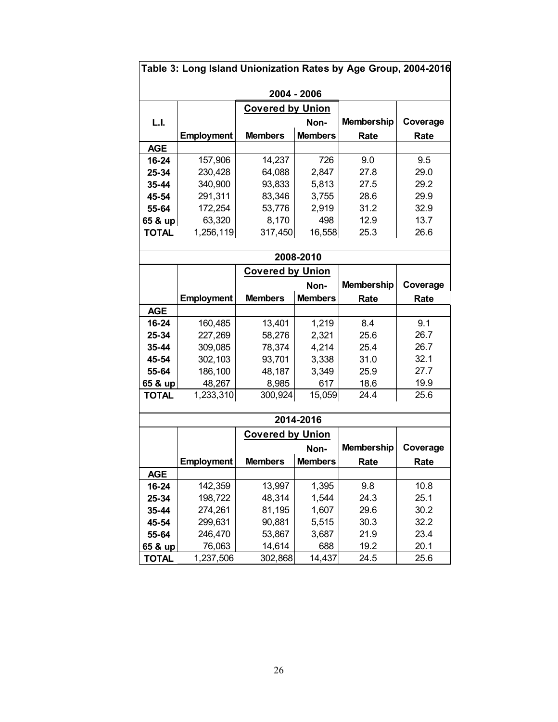| Table 3: Long Island Unionization Rates by Age Group, 2004-2016 |                   |                         |                |                   |          |  |  |  |  |
|-----------------------------------------------------------------|-------------------|-------------------------|----------------|-------------------|----------|--|--|--|--|
| 2004 - 2006                                                     |                   |                         |                |                   |          |  |  |  |  |
| <b>Covered by Union</b>                                         |                   |                         |                |                   |          |  |  |  |  |
| L.I.                                                            |                   |                         | Non-           | <b>Membership</b> | Coverage |  |  |  |  |
|                                                                 | <b>Employment</b> | <b>Members</b>          | <b>Members</b> | Rate              | Rate     |  |  |  |  |
| <b>AGE</b>                                                      |                   |                         |                |                   |          |  |  |  |  |
| 16-24                                                           | 157,906           | 14,237                  | 726            | 9.0               | 9.5      |  |  |  |  |
|                                                                 |                   |                         |                |                   | 29.0     |  |  |  |  |
| 25-34                                                           | 230,428           | 64,088                  | 2,847          | 27.8<br>27.5      | 29.2     |  |  |  |  |
| 35-44                                                           | 340,900           | 93,833                  | 5,813          |                   |          |  |  |  |  |
| 45-54                                                           | 291,311           | 83,346                  | 3,755          | 28.6              | 29.9     |  |  |  |  |
| 55-64                                                           | 172,254           | 53,776                  | 2,919          | 31.2              | 32.9     |  |  |  |  |
| 65 & up                                                         | 63,320            | 8,170                   | 498            | 12.9              | 13.7     |  |  |  |  |
| <b>TOTAL</b>                                                    | 1,256,119         | 317,450                 | 16,558         | 25.3              | 26.6     |  |  |  |  |
|                                                                 |                   |                         |                |                   |          |  |  |  |  |
|                                                                 |                   |                         | 2008-2010      |                   |          |  |  |  |  |
|                                                                 |                   | <b>Covered by Union</b> |                |                   |          |  |  |  |  |
|                                                                 |                   |                         | Non-           | <b>Membership</b> | Coverage |  |  |  |  |
|                                                                 | <b>Employment</b> | <b>Members</b>          | <b>Members</b> | Rate              | Rate     |  |  |  |  |
| <b>AGE</b>                                                      |                   |                         |                |                   |          |  |  |  |  |
| 16-24                                                           | 160,485           | 13,401                  | 1,219          | 8.4               | 9.1      |  |  |  |  |
| 25-34                                                           | 227,269           | 58,276                  | 2,321          | 25.6              | 26.7     |  |  |  |  |
| 35-44                                                           | 309,085           | 78,374                  | 4,214          | 25.4              | 26.7     |  |  |  |  |
| 45-54                                                           | 302,103           | 93,701                  | 3,338          | 31.0              | 32.1     |  |  |  |  |
| 55-64                                                           | 186,100           | 48,187                  | 3,349          | 25.9              | 27.7     |  |  |  |  |
| 65 & up                                                         | 48,267            | 8,985                   | 617            | 18.6              | 19.9     |  |  |  |  |
| <b>TOTAL</b>                                                    | 1,233,310         | 300,924                 | 15,059         | 24.4              | 25.6     |  |  |  |  |
|                                                                 |                   |                         |                |                   |          |  |  |  |  |
|                                                                 |                   |                         | 2014-2016      |                   |          |  |  |  |  |
|                                                                 |                   | <b>Covered by Union</b> |                |                   |          |  |  |  |  |
|                                                                 |                   |                         | Non-           | <b>Membership</b> | Coverage |  |  |  |  |
|                                                                 | <b>Employment</b> | <b>Members</b>          | <b>Members</b> | Rate              | Rate     |  |  |  |  |
| <b>AGE</b>                                                      |                   |                         |                |                   |          |  |  |  |  |
| 16-24                                                           | 142,359           | 13,997                  | 1,395          | 9.8               | 10.8     |  |  |  |  |
| 25-34                                                           | 198,722           | 48,314                  | 1,544          | 24.3              | 25.1     |  |  |  |  |
| 35-44                                                           | 274,261           | 81,195                  | 1,607          | 29.6              | 30.2     |  |  |  |  |
| 45-54                                                           | 299,631           | 90,881                  | 5,515          | 30.3              | 32.2     |  |  |  |  |
| 55-64                                                           | 246,470           | 53,867                  | 3,687          | 21.9              | 23.4     |  |  |  |  |
| 65 & up                                                         | 76,063            | 14,614                  | 688            | 19.2              | 20.1     |  |  |  |  |
| <b>TOTAL</b>                                                    | 1,237,506         | 302,868                 | 14,437         | 24.5              | 25.6     |  |  |  |  |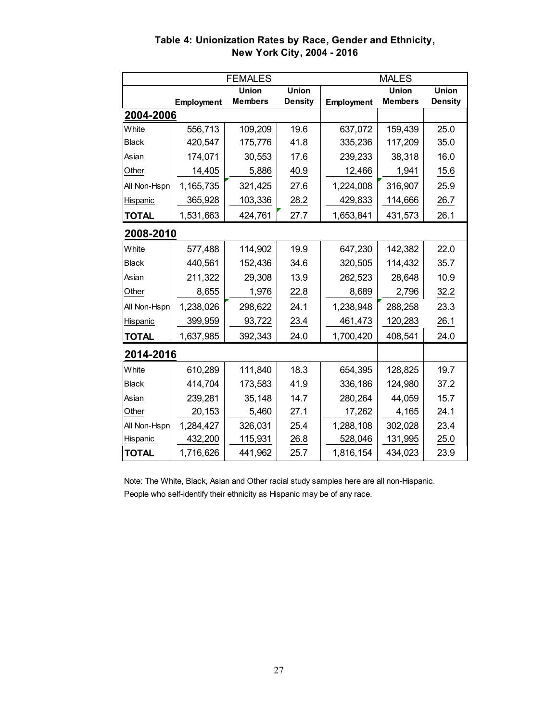|              |            | <b>FEMALES</b> |                | <b>MALES</b> |                |                |
|--------------|------------|----------------|----------------|--------------|----------------|----------------|
|              |            | Union          | <b>Union</b>   |              | <b>Union</b>   | <b>Union</b>   |
|              | Employment | <b>Members</b> | <b>Density</b> | Employment   | <b>Members</b> | <b>Density</b> |
| 2004-2006    |            |                |                |              |                |                |
| White        | 556,713    | 109,209        | 19.6           | 637,072      | 159,439        | 25.0           |
| <b>Black</b> | 420,547    | 175,776        | 41.8           | 335,236      | 117,209        | 35.0           |
| Asian        | 174,071    | 30,553         | 17.6           | 239,233      | 38,318         | 16.0           |
| Other        | 14,405     | 5,886          | 40.9           | 12,466       | 1,941          | 15.6           |
| All Non-Hspn | 1,165,735  | 321,425        | 27.6           | 1,224,008    | 316,907        | 25.9           |
| Hispanic     | 365,928    | 103,336        | 28.2           | 429,833      | 114,666        | 26.7           |
| <b>TOTAL</b> | 1,531,663  | 424,761        | 27.7           | 1,653,841    | 431,573        | 26.1           |
| 2008-2010    |            |                |                |              |                |                |
| White        | 577,488    | 114,902        | 19.9           | 647,230      | 142,382        | 22.0           |
| <b>Black</b> | 440,561    | 152,436        | 34.6           | 320,505      | 114,432        | 35.7           |
| Asian        | 211,322    | 29,308         | 13.9           | 262,523      | 28,648         | 10.9           |
| Other        | 8,655      | 1,976          | 22.8           | 8,689        | 2,796          | 32.2           |
| All Non-Hspn | 1,238,026  | 298,622        | 24.1           | 1,238,948    | 288,258        | 23.3           |
| Hispanic     | 399,959    | 93,722         | 23.4           | 461,473      | 120,283        | 26.1           |
| <b>TOTAL</b> | 1,637,985  | 392,343        | 24.0           | 1,700,420    | 408,541        | 24.0           |
| 2014-2016    |            |                |                |              |                |                |
| White        | 610,289    | 111,840        | 18.3           | 654,395      | 128,825        | 19.7           |
| <b>Black</b> | 414,704    | 173,583        | 41.9           | 336,186      | 124,980        | 37.2           |
| Asian        | 239,281    | 35,148         | 14.7           | 280,264      | 44,059         | 15.7           |
| Other        | 20,153     | 5,460          | 27.1           | 17,262       | 4,165          | 24.1           |
| All Non-Hspn | 1,284,427  | 326,031        | 25.4           | 1,288,108    | 302,028        | 23.4           |
| Hispanic     | 432,200    | 115,931        | 26.8           | 528,046      | 131,995        | 25.0           |
| <b>TOTAL</b> | 1,716,626  | 441,962        | 25.7           | 1,816,154    | 434,023        | 23.9           |

**Table 4: Unionization Rates by Race, Gender and Ethnicity, New York City, 2004 - 2016** 

 Note: The White, Black, Asian and Other racial study samples here are all non-Hispanic. People who self-identify their ethnicity as Hispanic may be of any race.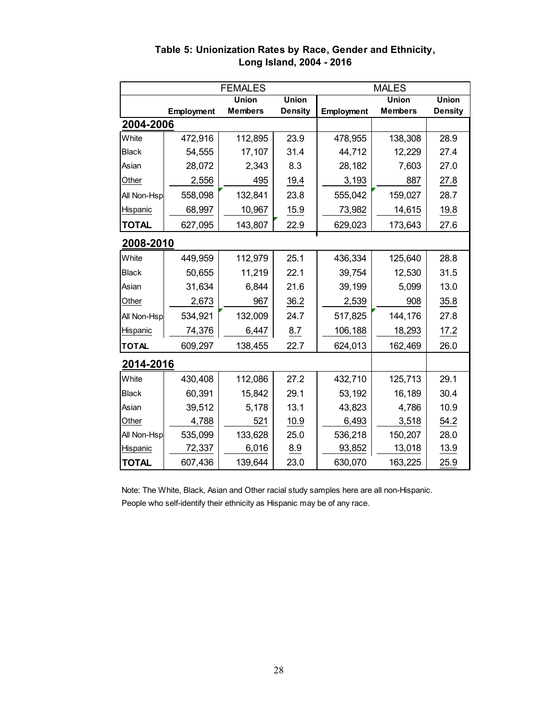|                 |            | <b>MALES</b>   |                |                   |                |                |
|-----------------|------------|----------------|----------------|-------------------|----------------|----------------|
|                 |            | <b>Union</b>   | <b>Union</b>   |                   | <b>Union</b>   | <b>Union</b>   |
|                 | Employment | <b>Members</b> | <b>Density</b> | <b>Employment</b> | <b>Members</b> | <b>Density</b> |
| 2004-2006       |            |                |                |                   |                |                |
| White           | 472,916    | 112,895        | 23.9           | 478,955           | 138,308        | 28.9           |
| <b>Black</b>    | 54,555     | 17,107         | 31.4           | 44,712            | 12,229         | 27.4           |
| Asian           | 28,072     | 2,343          | 8.3            | 28,182            | 7,603          | 27.0           |
| Other           | 2,556      | 495            | 19.4           | 3,193             | 887            | 27.8           |
| All Non-Hsp     | 558,098    | 132,841        | 23.8           | 555,042           | 159,027        | 28.7           |
| <b>Hispanic</b> | 68,997     | 10,967         | 15.9           | 73,982            | 14,615         | 19.8           |
| <b>TOTAL</b>    | 627,095    | 143,807        | 22.9           | 629,023           | 173,643        | 27.6           |
| 2008-2010       |            |                |                |                   |                |                |
| White           | 449,959    | 112,979        | 25.1           | 436,334           | 125,640        | 28.8           |
| <b>Black</b>    | 50,655     | 11,219         | 22.1           | 39,754            | 12,530         | 31.5           |
| Asian           | 31,634     | 6,844          | 21.6           | 39,199            | 5,099          | 13.0           |
| Other           | 2,673      | 967            | 36.2           | 2,539             | 908            | 35.8           |
| All Non-Hsp     | 534,921    | 132,009        | 24.7           | 517,825           | 144,176        | 27.8           |
| Hispanic        | 74,376     | 6,447          | 8.7            | 106,188           | 18,293         | 17.2           |
| <b>TOTAL</b>    | 609,297    | 138,455        | 22.7           | 624,013           | 162,469        | 26.0           |
| 2014-2016       |            |                |                |                   |                |                |
| White           | 430,408    | 112,086        | 27.2           | 432,710           | 125,713        | 29.1           |
| <b>Black</b>    | 60,391     | 15,842         | 29.1           | 53,192            | 16,189         | 30.4           |
| Asian           | 39,512     | 5,178          | 13.1           | 43,823            | 4,786          | 10.9           |
| Other           | 4,788      | 521            | 10.9           | 6,493             | 3,518          | 54.2           |
| All Non-Hsp     | 535,099    | 133,628        | 25.0           | 536,218           | 150,207        | 28.0           |
| Hispanic        | 72,337     | 6,016          | 8.9            | 93,852            | 13,018         | 13.9           |
| <b>TOTAL</b>    | 607,436    | 139,644        | 23.0           | 630,070           | 163,225        | 25.9           |

#### **Table 5: Unionization Rates by Race, Gender and Ethnicity, Long Island, 2004 - 2016**

 Note: The White, Black, Asian and Other racial study samples here are all non-Hispanic. People who self-identify their ethnicity as Hispanic may be of any race.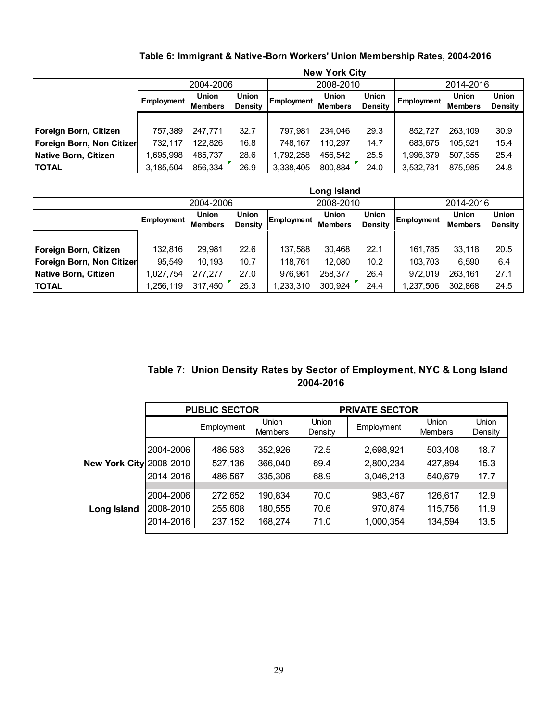|  |  |  |  |  | Table 6: Immigrant & Native-Born Workers' Union Membership Rates, 2004-2016 |  |  |
|--|--|--|--|--|-----------------------------------------------------------------------------|--|--|
|--|--|--|--|--|-----------------------------------------------------------------------------|--|--|

|                                  |            |                         |                                |            | <b>New York City</b>           |                                |                   |                                |                                |
|----------------------------------|------------|-------------------------|--------------------------------|------------|--------------------------------|--------------------------------|-------------------|--------------------------------|--------------------------------|
|                                  |            | 2004-2006               |                                |            | 2008-2010                      |                                |                   | 2014-2016                      |                                |
|                                  | Employment | Union<br><b>Members</b> | <b>Union</b><br><b>Density</b> | Employment | <b>Union</b><br><b>Members</b> | <b>Union</b><br><b>Density</b> | <b>Employment</b> | <b>Union</b><br><b>Members</b> | <b>Union</b><br><b>Density</b> |
|                                  |            |                         |                                |            |                                |                                |                   |                                |                                |
| Foreign Born, Citizen            | 757,389    | 247,771                 | 32.7                           | 797,981    | 234,046                        | 29.3                           | 852,727           | 263,109                        | 30.9                           |
| Foreign Born, Non Citizer        | 732,117    | 122,826                 | 16.8                           | 748,167    | 110,297                        | 14.7                           | 683,675           | 105,521                        | 15.4                           |
| <b>Native Born, Citizen</b>      | 1,695,998  | 485,737                 | 28.6                           | 1,792,258  | 456,542                        | 25.5                           | 1,996,379         | 507,355                        | 25.4                           |
| <b>TOTAL</b>                     | 3,185,504  | 856,334                 | 26.9                           | 3,338,405  | 800,884                        | 24.0                           | 3,532,781         | 875,985                        | 24.8                           |
|                                  |            | 2004-2006               |                                |            | Long Island<br>2008-2010       |                                |                   | 2014-2016                      |                                |
|                                  |            | Union                   | <b>Union</b>                   |            | Union                          | <b>Union</b>                   |                   | <b>Union</b>                   | <b>Union</b>                   |
|                                  | Employment | <b>Members</b>          | <b>Density</b>                 | Employment | <b>Members</b>                 | <b>Density</b>                 | Employment        | <b>Members</b>                 | <b>Density</b>                 |
|                                  |            |                         |                                |            |                                |                                |                   |                                |                                |
| Foreign Born, Citizen            | 132,816    | 29,981                  | 22.6                           | 137,588    | 30,468                         | 22.1                           | 161,785           | 33,118                         | 20.5                           |
| <b>Foreign Born, Non Citizer</b> |            |                         |                                | 118,761    |                                | 10.2                           | 103,703           | 6,590                          |                                |
|                                  | 95,549     | 10,193                  | 10.7                           |            | 12,080                         |                                |                   |                                | 6.4                            |
| <b>Native Born, Citizen</b>      | 1,027,754  | 277,277                 | 27.0                           | 976,961    | 258,377                        | 26.4                           | 972,019           | 263,161                        | 27.1                           |

#### **Table 7: Union Density Rates by Sector of Employment, NYC & Long Island 2004-2016**

|                                |           | <b>PUBLIC SECTOR</b> |                         |                  | <b>PRIVATE SECTOR</b> |                                |                         |
|--------------------------------|-----------|----------------------|-------------------------|------------------|-----------------------|--------------------------------|-------------------------|
|                                |           | Employment           | Union<br><b>Members</b> | Union<br>Density | Employment            | <b>Union</b><br><b>Members</b> | <b>Union</b><br>Density |
|                                | 2004-2006 | 486,583              | 352,926                 | 72.5             | 2,698,921             | 503,408                        | 18.7                    |
| <b>New York City 2008-2010</b> |           | 527,136              | 366,040                 | 69.4             | 2,800,234             | 427,894                        | 15.3                    |
|                                | 2014-2016 | 486,567              | 335,306                 | 68.9             | 3,046,213             | 540,679                        | 17.7                    |
|                                |           |                      |                         |                  |                       |                                |                         |
|                                | 2004-2006 | 272,652              | 190,834                 | 70.0             | 983,467               | 126,617                        | 12.9                    |
| Long Island                    | 2008-2010 | 255,608              | 180,555                 | 70.6             | 970,874               | 115,756                        | 11.9                    |
|                                | 2014-2016 | 237,152              | 168,274                 | 71.0             | 1,000,354             | 134,594                        | 13.5                    |
|                                |           |                      |                         |                  |                       |                                |                         |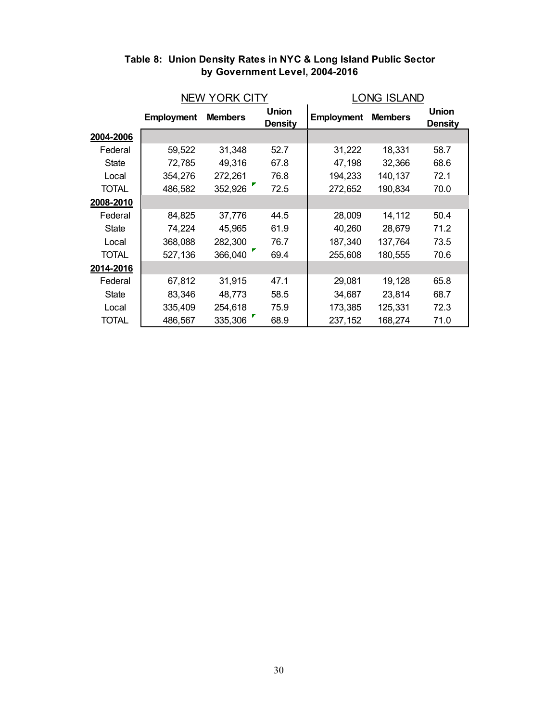|              |                   | <b>NEW YORK CITY</b> |                                | <b>LONG ISLAND</b> |                |                         |  |
|--------------|-------------------|----------------------|--------------------------------|--------------------|----------------|-------------------------|--|
|              | <b>Employment</b> | <b>Members</b>       | <b>Union</b><br><b>Density</b> | <b>Employment</b>  | <b>Members</b> | <b>Union</b><br>Density |  |
| 2004-2006    |                   |                      |                                |                    |                |                         |  |
| Federal      | 59,522            | 31,348               | 52.7                           | 31,222             | 18,331         | 58.7                    |  |
| <b>State</b> | 72,785            | 49,316               | 67.8                           | 47,198             | 32,366         | 68.6                    |  |
| Local        | 354,276           | 272,261              | 76.8                           | 194,233            | 140,137        | 72.1                    |  |
| TOTAL        | 486,582           | 352,926              | 72.5                           | 272,652            | 190,834        | 70.0                    |  |
| 2008-2010    |                   |                      |                                |                    |                |                         |  |
| Federal      | 84,825            | 37,776               | 44.5                           | 28,009             | 14,112         | 50.4                    |  |
| <b>State</b> | 74,224            | 45,965               | 61.9                           | 40,260             | 28,679         | 71.2                    |  |
| Local        | 368,088           | 282,300              | 76.7                           | 187,340            | 137,764        | 73.5                    |  |
| <b>TOTAL</b> | 527,136           | 366,040              | 69.4                           | 255,608            | 180,555        | 70.6                    |  |
| 2014-2016    |                   |                      |                                |                    |                |                         |  |
| Federal      | 67,812            | 31,915               | 47.1                           | 29,081             | 19,128         | 65.8                    |  |
| <b>State</b> | 83,346            | 48,773               | 58.5                           | 34,687             | 23,814         | 68.7                    |  |
| Local        | 335,409           | 254,618              | 75.9                           | 173,385            | 125,331        | 72.3                    |  |
| <b>TOTAL</b> | 486,567           | 335,306              | 68.9                           | 237,152            | 168,274        | 71.0                    |  |

#### **Table 8: Union Density Rates in NYC & Long Island Public Sector by Government Level, 2004-2016**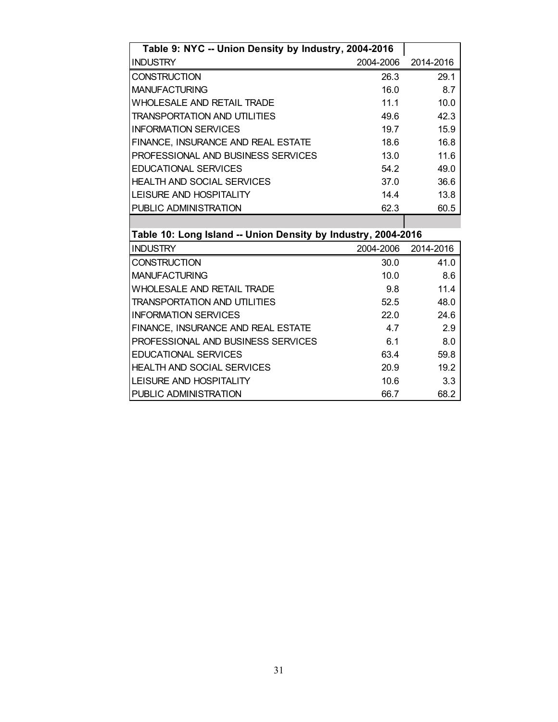| Table 9: NYC -- Union Density by Industry, 2004-2016          |           |           |
|---------------------------------------------------------------|-----------|-----------|
| <b>INDUSTRY</b>                                               | 2004-2006 | 2014-2016 |
| <b>CONSTRUCTION</b>                                           | 26.3      | 29.1      |
| <b>MANUFACTURING</b>                                          | 16.0      | 8.7       |
| <b>WHOLESALE AND RETAIL TRADE</b>                             | 11.1      | 10.0      |
| <b>TRANSPORTATION AND UTILITIES</b>                           | 49.6      | 42.3      |
| <b>INFORMATION SERVICES</b>                                   | 19.7      | 15.9      |
| FINANCE, INSURANCE AND REAL ESTATE                            | 18.6      | 16.8      |
| PROFESSIONAL AND BUSINESS SERVICES                            | 13.0      | 11.6      |
| <b>EDUCATIONAL SERVICES</b>                                   | 54.2      | 49.0      |
| <b>HEALTH AND SOCIAL SERVICES</b>                             | 37.0      | 36.6      |
| <b>LEISURE AND HOSPITALITY</b>                                | 14.4      | 13.8      |
| PUBLIC ADMINISTRATION                                         | 62.3      | 60.5      |
|                                                               |           |           |
| Table 10: Long Island -- Union Density by Industry, 2004-2016 |           |           |
| <b>INDUSTRY</b>                                               | 2004-2006 | 2014-2016 |
| CONSTRUCTION                                                  | 30.0      | 41.0      |
| <b>MANUFACTURING</b>                                          | 10.0      | 8.6       |
| WHOLESALE AND RETAIL TRADE                                    | 9.8       | 11.4      |
| <b>TRANSPORTATION AND UTILITIES</b>                           | 52.5      | 48.0      |
| <b>INFORMATION SERVICES</b>                                   | 22.0      | 24.6      |
| FINANCE, INSURANCE AND REAL ESTATE                            | 4.7       | 2.9       |
| PROFESSIONAL AND BUSINESS SERVICES                            | 6.1       | 8.0       |
|                                                               |           |           |

HEALTH AND SOCIAL SERVICES 20.9 19.2 LEISURE AND HOSPITALITY 10.6 3.3

PUBLIC ADMINISTRATION 66.7 68.2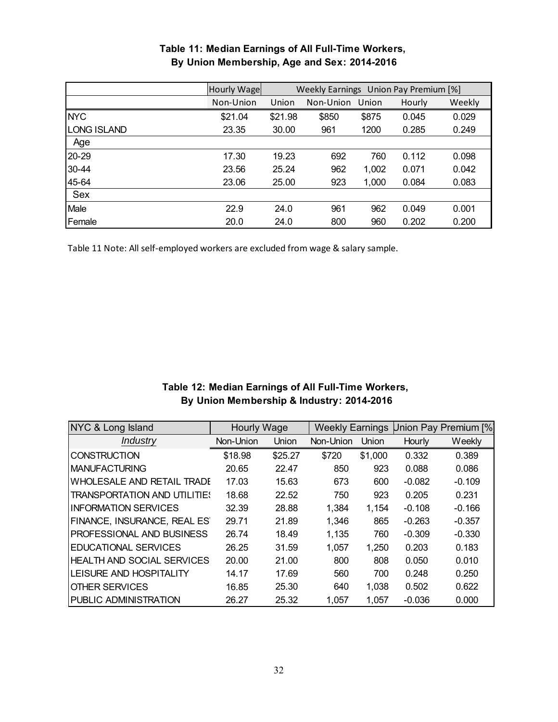|                    | Hourly Wage | Weekly Earnings Union Pay Premium [%]        |       |       |       |       |  |  |
|--------------------|-------------|----------------------------------------------|-------|-------|-------|-------|--|--|
|                    | Non-Union   | Weekly<br>Union<br>Non-Union Union<br>Hourly |       |       |       |       |  |  |
| <b>NYC</b>         | \$21.04     | \$21.98                                      | \$850 | \$875 | 0.045 | 0.029 |  |  |
| <b>LONG ISLAND</b> | 23.35       | 30.00                                        | 961   | 1200  | 0.285 | 0.249 |  |  |
| Age                |             |                                              |       |       |       |       |  |  |
| 20-29              | 17.30       | 19.23                                        | 692   | 760   | 0.112 | 0.098 |  |  |
| 30-44              | 23.56       | 25.24                                        | 962   | 1,002 | 0.071 | 0.042 |  |  |
| 45-64              | 23.06       | 25.00                                        | 923   | 1,000 | 0.084 | 0.083 |  |  |
| Sex                |             |                                              |       |       |       |       |  |  |
| Male               | 22.9        | 24.0                                         | 961   | 962   | 0.049 | 0.001 |  |  |
| Female             | 20.0        | 24.0                                         | 800   | 960   | 0.202 | 0.200 |  |  |

#### **By Union Membership, Age and Sex: 2014-2016 Table 11: Median Earnings of All Full-Time Workers,**

Table 11 Note: All self‐employed workers are excluded from wage & salary sample.

#### **Table 12: Median Earnings of All Full-Time Workers, By Union Membership & Industry: 2014-2016**

| NYC & Long Island                   | Hourly Wage |         | <b>Weekly Earnings</b> |         |          | Union Pay Premium [%] |
|-------------------------------------|-------------|---------|------------------------|---------|----------|-----------------------|
| <b>Industry</b>                     | Non-Union   | Union   | Non-Union              | Union   | Hourly   | Weekly                |
| <b>CONSTRUCTION</b>                 | \$18.98     | \$25.27 | \$720                  | \$1,000 | 0.332    | 0.389                 |
| <b>MANUFACTURING</b>                | 20.65       | 22.47   | 850                    | 923     | 0.088    | 0.086                 |
| WHOLESALE AND RETAIL TRADE          | 17.03       | 15.63   | 673                    | 600     | $-0.082$ | $-0.109$              |
| <b>TRANSPORTATION AND UTILITIES</b> | 18.68       | 22.52   | 750                    | 923     | 0.205    | 0.231                 |
| <b>INFORMATION SERVICES</b>         | 32.39       | 28.88   | 1,384                  | 1,154   | $-0.108$ | $-0.166$              |
| FINANCE, INSURANCE, REAL ES         | 29.71       | 21.89   | 1,346                  | 865     | $-0.263$ | $-0.357$              |
| PROFESSIONAL AND BUSINESS           | 26.74       | 18.49   | 1,135                  | 760     | $-0.309$ | $-0.330$              |
| <b>EDUCATIONAL SERVICES</b>         | 26.25       | 31.59   | 1,057                  | 1,250   | 0.203    | 0.183                 |
| <b>HEALTH AND SOCIAL SERVICES</b>   | 20.00       | 21.00   | 800                    | 808     | 0.050    | 0.010                 |
| LEISURE AND HOSPITALITY             | 14.17       | 17.69   | 560                    | 700     | 0.248    | 0.250                 |
| <b>OTHER SERVICES</b>               | 16.85       | 25.30   | 640                    | 1,038   | 0.502    | 0.622                 |
| <b>PUBLIC ADMINISTRATION</b>        | 26.27       | 25.32   | 1,057                  | 1,057   | $-0.036$ | 0.000                 |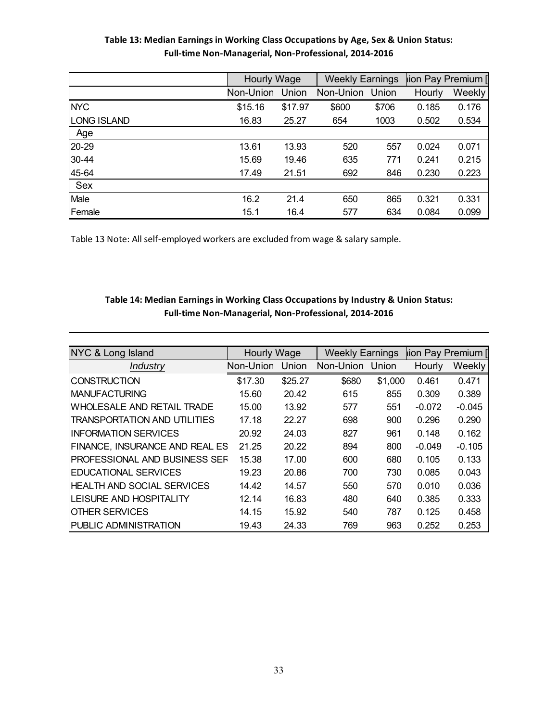#### **Table 13: Median Earnings in Working Class Occupations by Age, Sex & Union Status: Full‐time Non‐Managerial, Non‐Professional, 2014‐2016**

|             | Hourly Wage |         | <b>Weekly Earnings</b> |       | tion Pay Premium [ |        |
|-------------|-------------|---------|------------------------|-------|--------------------|--------|
|             | Non-Union   | Union   | Non-Union              | Union | Hourly             | Weekly |
| <b>NYC</b>  | \$15.16     | \$17.97 | \$600                  | \$706 | 0.185              | 0.176  |
| LONG ISLAND | 16.83       | 25.27   | 654                    | 1003  | 0.502              | 0.534  |
| Age         |             |         |                        |       |                    |        |
| 20-29       | 13.61       | 13.93   | 520                    | 557   | 0.024              | 0.071  |
| 30-44       | 15.69       | 19.46   | 635                    | 771   | 0.241              | 0.215  |
| 45-64       | 17.49       | 21.51   | 692                    | 846   | 0.230              | 0.223  |
| Sex         |             |         |                        |       |                    |        |
| Male        | 16.2        | 21.4    | 650                    | 865   | 0.321              | 0.331  |
| Female      | 15.1        | 16.4    | 577                    | 634   | 0.084              | 0.099  |

Table 13 Note: All self‐employed workers are excluded from wage & salary sample.

#### **Table 14: Median Earnings in Working Class Occupations by Industry & Union Status: Full‐time Non‐Managerial, Non‐Professional, 2014‐2016**

| NYC & Long Island                   | <b>Hourly Wage</b> |         | <b>Weekly Earnings</b> |         | lion Pay Premium [ |          |
|-------------------------------------|--------------------|---------|------------------------|---------|--------------------|----------|
| Industry                            | Non-Union          | Union   | Non-Union              | Union   | Hourly             | Weekly   |
| <b>CONSTRUCTION</b>                 | \$17.30            | \$25.27 | \$680                  | \$1,000 | 0.461              | 0.471    |
| <b>IMANUFACTURING</b>               | 15.60              | 20.42   | 615                    | 855     | 0.309              | 0.389    |
| WHOLESALE AND RETAIL TRADE          | 15.00              | 13.92   | 577                    | 551     | $-0.072$           | $-0.045$ |
| <b>TRANSPORTATION AND UTILITIES</b> | 17.18              | 22.27   | 698                    | 900     | 0.296              | 0.290    |
| <b>INFORMATION SERVICES</b>         | 20.92              | 24.03   | 827                    | 961     | 0.148              | 0.162    |
| FINANCE, INSURANCE AND REAL ES      | 21.25              | 20.22   | 894                    | 800     | $-0.049$           | $-0.105$ |
| PROFESSIONAL AND BUSINESS SEF       | 15.38              | 17.00   | 600                    | 680     | 0.105              | 0.133    |
| EDUCATIONAL SERVICES                | 19.23              | 20.86   | 700                    | 730     | 0.085              | 0.043    |
| <b>HEALTH AND SOCIAL SERVICES</b>   | 14.42              | 14.57   | 550                    | 570     | 0.010              | 0.036    |
| LEISURE AND HOSPITALITY             | 12.14              | 16.83   | 480                    | 640     | 0.385              | 0.333    |
| <b>OTHER SERVICES</b>               | 14.15              | 15.92   | 540                    | 787     | 0.125              | 0.458    |
| <b>PUBLIC ADMINISTRATION</b>        | 19.43              | 24.33   | 769                    | 963     | 0.252              | 0.253    |